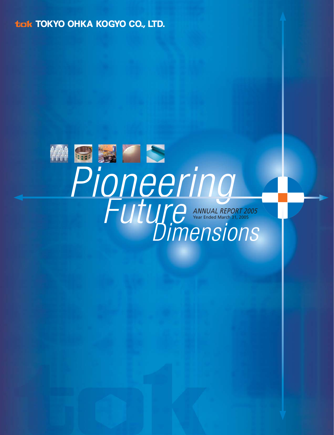**tigk TOKYO OHKA KOGYO CO., LTD.** 

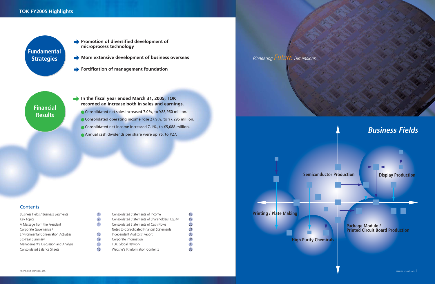## **TOK FY2005 Highlights**

**Promotion of diversified development of microprocess technology**

**More extensive development of business overseas**

**Fortification of management foundation**

**In the fiscal year ended March 31, 2005, TOK recorded an increase both in sales and earnings.**

- Consolidated operating income rose 27.9%, to ¥7,295 million.
- Consolidated net income increased 7.1%, to ¥5,088 million.
- Annual cash dividends per share were up ¥5, to ¥27.

## **Contents**

Business Fields / Business Segments Key Topics 22 A Message from the President 4 Corporate Governance / Environmental Conservation Activities 10 Six-Year Summary 12 Management's Discussion and Analysis 13 Consolidated Balance Sheets 16

Consolidated net sales increased 7.0%, to ¥88,960 million.





**Printing / Plate Making** 

 $\blacksquare$ 

**Fundamental**

**Strategies**

**Financial Results**

| Consolidated Statements of Income               |    |
|-------------------------------------------------|----|
| Consolidated Statements of Shareholders' Equity | 19 |
| Consolidated Statements of Cash Flows           |    |
| Notes to Consolidated Financial Statements      |    |
| Independent Auditors' Report                    | 33 |
| Corporate Information                           |    |
| <b>TOK Global Network</b>                       | 35 |
| Website's IR Information Contents               |    |
|                                                 |    |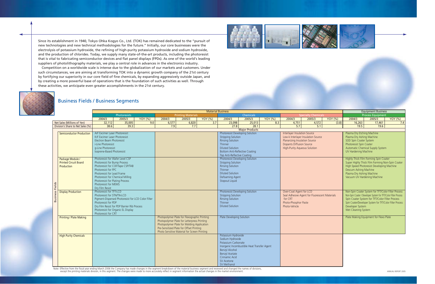|                                                                                                                                                                                                                                                                                                                                                                                  |                                                       |                                                                                    |                |                                              |        |                         |                                                                      |                            |                |                                               |                                                           |                | <b>Equipment Business</b>                                       |                                                 |                    |
|----------------------------------------------------------------------------------------------------------------------------------------------------------------------------------------------------------------------------------------------------------------------------------------------------------------------------------------------------------------------------------|-------------------------------------------------------|------------------------------------------------------------------------------------|----------------|----------------------------------------------|--------|-------------------------|----------------------------------------------------------------------|----------------------------|----------------|-----------------------------------------------|-----------------------------------------------------------|----------------|-----------------------------------------------------------------|-------------------------------------------------|--------------------|
|                                                                                                                                                                                                                                                                                                                                                                                  |                                                       | <b>Material Business</b><br><b>Printing Materials</b><br>Photoresists<br>Chemicals |                |                                              |        |                         |                                                                      | <b>Specialty Chemicals</b> |                | <b>Process Equipment</b>                      |                                                           |                |                                                                 |                                                 |                    |
|                                                                                                                                                                                                                                                                                                                                                                                  | 2004/3                                                | 2005/3                                                                             | <b>YOY</b> (%) | 2004/3                                       | 2005/3 | <b>YOY</b> (%)          | 2004/3                                                               | 2005/3                     | <b>YOY</b> (%) | 2004/3                                        | 2005/3                                                    | <b>YOY</b> (%) | 2004/3                                                          | 2005/3                                          | <b>YOY</b> (%)     |
| Net Sales (Millions of Yen)                                                                                                                                                                                                                                                                                                                                                      | 32,112                                                | 35,005                                                                             | 9.0            | 6,577                                        | 6,820  | 3.7                     | 23,098                                                               | 25,013                     | 8.3            | 4,751                                         | 4,572                                                     | (3.8)          | 16,263                                                          | 17,461                                          | 7.4                |
| Division's Share to Net Sales (%)                                                                                                                                                                                                                                                                                                                                                | 38.6                                                  | 39.3                                                                               |                | 7.9                                          | 7.7    |                         | 27.8                                                                 | 28.1                       |                | 5.7                                           | 5.1                                                       |                | 19.5                                                            | 19.6                                            |                    |
|                                                                                                                                                                                                                                                                                                                                                                                  |                                                       |                                                                                    |                |                                              |        |                         |                                                                      | <b>Major Products</b>      |                |                                               |                                                           |                |                                                                 |                                                 |                    |
| <b>Semiconductor Production</b>                                                                                                                                                                                                                                                                                                                                                  | ArF Excimer Laser Photoresist                         |                                                                                    |                |                                              |        |                         | <b>Photoresist Developing Solution</b>                               |                            |                | <b>Interlayer Insulation Source</b>           |                                                           |                | Plasma Dry Etching Machine                                      |                                                 |                    |
|                                                                                                                                                                                                                                                                                                                                                                                  | KrF Excimer Laser Photoresist                         |                                                                                    |                |                                              |        |                         | <b>Stripping Solution</b>                                            |                            |                |                                               | Low-k Interlayer Insulation Source                        |                | Plasma Dry Ashing Machine                                       |                                                 |                    |
|                                                                                                                                                                                                                                                                                                                                                                                  | Electron Beam Photoresist                             |                                                                                    |                |                                              |        |                         | <b>Rinsing Solution</b>                                              |                            |                | Planarizing Insulation Source                 |                                                           |                | <b>SOD Spin Coater System</b>                                   |                                                 |                    |
|                                                                                                                                                                                                                                                                                                                                                                                  | i-Line Photoresist                                    |                                                                                    |                |                                              |        |                         | Thinner                                                              |                            |                | <b>Dopants Diffusion Source</b>               |                                                           |                | Photoresist Spin Coater                                         |                                                 |                    |
|                                                                                                                                                                                                                                                                                                                                                                                  | g-Line Photoresist                                    |                                                                                    |                |                                              |        |                         | <b>Diluted Solution</b>                                              |                            |                | <b>High-Purity Aqueous Solution</b>           |                                                           |                |                                                                 | Automatic Chemical Supply System                |                    |
|                                                                                                                                                                                                                                                                                                                                                                                  | Isoprene-Based Photoresist                            |                                                                                    |                |                                              |        |                         | <b>Bottom Anti-Reflective Coating</b><br>Top Anti-Reflective Coating |                            |                |                                               |                                                           |                | UV Hardening Machine                                            |                                                 |                    |
| Package Module /                                                                                                                                                                                                                                                                                                                                                                 | Photoresist for Wafer Level CSP                       |                                                                                    |                |                                              |        |                         | <b>Photoresist Developing Solution</b>                               |                            |                |                                               |                                                           |                |                                                                 | Highly Thick Film Forming Spin Coater           |                    |
| <b>Printed Circuit Board</b>                                                                                                                                                                                                                                                                                                                                                     | Photoresist for Bump Process                          |                                                                                    |                |                                              |        |                         | <b>Stripping Solution</b>                                            |                            |                |                                               |                                                           |                |                                                                 | Super Highly Thick Film Forming Non-Spin Coater |                    |
| Production                                                                                                                                                                                                                                                                                                                                                                       | Photoresist for COF/Tape CSP/TAB                      |                                                                                    |                |                                              |        |                         | <b>Rinsing Solution</b>                                              |                            |                |                                               |                                                           |                |                                                                 | High Speed Photoresist Developing Machine       |                    |
|                                                                                                                                                                                                                                                                                                                                                                                  | Photoresist for FPC                                   |                                                                                    |                |                                              |        |                         | Thinner                                                              |                            |                |                                               |                                                           |                | Descum Ashing Machine                                           |                                                 |                    |
|                                                                                                                                                                                                                                                                                                                                                                                  | Photoresist for Lead Frame                            |                                                                                    |                |                                              |        |                         | <b>Diluted Solution</b>                                              |                            |                |                                               |                                                           |                | Plasma Dry Ashing Machine                                       |                                                 |                    |
|                                                                                                                                                                                                                                                                                                                                                                                  | Photoresist for Chemical Milling                      |                                                                                    |                |                                              |        |                         | Defoaming Agent                                                      |                            |                |                                               |                                                           |                | Vacuum UV Hardening Machine                                     |                                                 |                    |
|                                                                                                                                                                                                                                                                                                                                                                                  | Photoresist for Plating Process                       |                                                                                    |                |                                              |        |                         | <b>Stopout Liquid</b>                                                |                            |                |                                               |                                                           |                |                                                                 |                                                 |                    |
|                                                                                                                                                                                                                                                                                                                                                                                  | Photoresist for MEMS                                  |                                                                                    |                |                                              |        |                         |                                                                      |                            |                |                                               |                                                           |                |                                                                 |                                                 |                    |
| <b>Business Fields</b>                                                                                                                                                                                                                                                                                                                                                           | Dry Film Resist                                       |                                                                                    |                |                                              |        |                         |                                                                      |                            |                | Over-Coat Agent for LCD                       |                                                           |                | Non-Spin Coater System for TFT/Color Filter Process             |                                                 |                    |
| <b>Display Production</b>                                                                                                                                                                                                                                                                                                                                                        | Photoresist for TFT-LCD<br>Photoresist for STN/TN-LCD |                                                                                    |                |                                              |        |                         | <b>Photoresist Developing Solution</b><br><b>Stripping Solution</b>  |                            |                | Seal Adhesive Agent for Fluorescent Materials |                                                           |                | Non-Spin Coater / Developer System for TFT/Color Filter Process |                                                 |                    |
|                                                                                                                                                                                                                                                                                                                                                                                  | Pigment-Dispersed Photoresist for LCD Color Filter    |                                                                                    |                |                                              |        | <b>Rinsing Solution</b> |                                                                      | for CRT                    |                |                                               | Spin Coater System for TFT/Color Filter Process           |                |                                                                 |                                                 |                    |
|                                                                                                                                                                                                                                                                                                                                                                                  | Photoresist for PDP                                   |                                                                                    |                |                                              |        | Thinner                 |                                                                      | Photo-Phosphor Paste       |                |                                               | Spin Coater/Developer System for TFT/Color Filter Process |                |                                                                 |                                                 |                    |
|                                                                                                                                                                                                                                                                                                                                                                                  | Dry Film Resist for PDP Barrier Rib Process           |                                                                                    |                |                                              |        | <b>Diluted Solution</b> |                                                                      | Photo-Vehicle              |                | Developer System                              |                                                           |                |                                                                 |                                                 |                    |
|                                                                                                                                                                                                                                                                                                                                                                                  | Photoresist for Organic EL Display                    |                                                                                    |                |                                              |        |                         |                                                                      |                            |                |                                               | Wet Cleaning System                                       |                |                                                                 |                                                 |                    |
|                                                                                                                                                                                                                                                                                                                                                                                  | Photoresist for CRT                                   |                                                                                    |                |                                              |        |                         |                                                                      |                            |                |                                               |                                                           |                |                                                                 |                                                 |                    |
| <b>Printing / Plate Making</b>                                                                                                                                                                                                                                                                                                                                                   |                                                       |                                                                                    |                | Photopolymer Plate for Flexographic Printing |        |                         | <b>Plate Developing Solution</b>                                     |                            |                |                                               |                                                           |                |                                                                 | Plate Making Equipment for Flexo Plate          |                    |
|                                                                                                                                                                                                                                                                                                                                                                                  |                                                       |                                                                                    |                | Photopolymer Plate for Letterpress Printing  |        |                         |                                                                      |                            |                |                                               |                                                           |                |                                                                 |                                                 |                    |
|                                                                                                                                                                                                                                                                                                                                                                                  |                                                       |                                                                                    |                | Photopolymer Plate for Molding Application   |        |                         |                                                                      |                            |                |                                               |                                                           |                |                                                                 |                                                 |                    |
|                                                                                                                                                                                                                                                                                                                                                                                  |                                                       |                                                                                    |                | Pre-Sensitized Plate for Offset Printing     |        |                         |                                                                      |                            |                |                                               |                                                           |                |                                                                 |                                                 |                    |
| <b>High Purity Chemicals</b>                                                                                                                                                                                                                                                                                                                                                     |                                                       |                                                                                    |                | Photo Sensitive Material for Screen Printing |        |                         | Potassium Hydroxide                                                  |                            |                |                                               |                                                           |                |                                                                 |                                                 |                    |
|                                                                                                                                                                                                                                                                                                                                                                                  |                                                       |                                                                                    |                |                                              |        |                         | Sodium Hydroxide                                                     |                            |                |                                               |                                                           |                |                                                                 |                                                 |                    |
|                                                                                                                                                                                                                                                                                                                                                                                  |                                                       |                                                                                    |                |                                              |        |                         | Potassium Carbonate                                                  |                            |                |                                               |                                                           |                |                                                                 |                                                 |                    |
|                                                                                                                                                                                                                                                                                                                                                                                  |                                                       |                                                                                    |                |                                              |        |                         | Inorganic Incombustible Heat Transfer Agent                          |                            |                |                                               |                                                           |                |                                                                 |                                                 |                    |
|                                                                                                                                                                                                                                                                                                                                                                                  |                                                       |                                                                                    |                |                                              |        |                         | <b>Benzyl Alcohol</b>                                                |                            |                |                                               |                                                           |                |                                                                 |                                                 |                    |
|                                                                                                                                                                                                                                                                                                                                                                                  |                                                       |                                                                                    |                |                                              |        |                         | <b>Benzyl Acetate</b>                                                |                            |                |                                               |                                                           |                |                                                                 |                                                 |                    |
|                                                                                                                                                                                                                                                                                                                                                                                  |                                                       |                                                                                    |                |                                              |        |                         | Cinnamic Acid                                                        |                            |                |                                               |                                                           |                |                                                                 |                                                 |                    |
|                                                                                                                                                                                                                                                                                                                                                                                  |                                                       |                                                                                    |                |                                              |        |                         | SV Acetone                                                           |                            |                |                                               |                                                           |                |                                                                 |                                                 |                    |
|                                                                                                                                                                                                                                                                                                                                                                                  |                                                       |                                                                                    |                |                                              |        |                         | SV Methanol                                                          |                            |                |                                               |                                                           |                |                                                                 |                                                 |                    |
| Note: Effective from the fiscal year ending March 2006 the Company has made changes in the segment breakdown of the material business segment and reviewed and changed the names of divisions,<br>except the printing materials division, in this segment. The changes were made to more accurately reflect in segment information the actual changes in the market environment. |                                                       |                                                                                    |                |                                              |        |                         |                                                                      |                            |                |                                               |                                                           |                |                                                                 |                                                 | ANNUAL REPORT 2005 |

Note: Effective from the fiscal year ending March 2006 the Company has made changes in the segment breakdown of the material business segment and reviewed and changed the names of divisions, except the printing materials d



## Business Fields / Business Segments

Since its establishment in 1940, Tokyo Ohka Kogyo Co., Ltd. (TOK) has remained dedicated to the "pursuit of new technologies and new technical methodologies for the future." Initially, our core businesses were the electrolysis of potassium hydroxide, the refining of high-purity potassium hydroxide and sodium hydroxide, and the production of chlorides. Today, we supply many state-of-the-art products, including the photoresist that is vital to fabricating semiconductor devices and flat panel displays (FPDs). As one of the world's leading suppliers of photolithography materials, we play a central role in advances in the electronics industry.

Competition on a worldwide scale is intense due to the globalization of our markets and customers. Under such circumstances, we are aiming at transforming TOK into a dynamic growth company of the 21st century by fortifying our superiority in our core field of fine chemicals, by expanding aggressively outside Japan, and by creating a more powerful base of operations that is the foundation of such activities as well. Through these activities, we anticipate even greater accomplishments in the 21st century.

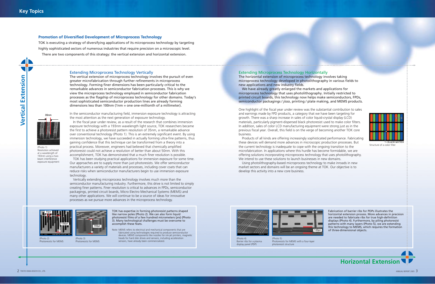от отношения состраняют от просто последните применения состраняет состраняет состраняет состраняет состраняет состраняет состраняет состраняет состраняет состраняет состраняет состраняет состраняет состраняет состраняет



## **Horizontal Extension**

### **Promotion of Diversified Development of Microprocess Technology**

TOK is executing a strategy of diversifying applications of its microprocess technology by targeting highly sophisticated sectors of numerous industries that require precision on a microscopic level. There are two components of this strategy: the vertical extension and horizontal extension.

### Extending Microprocess Technology Vertically

The vertical extension of microprocess technology involves the pursuit of even greater microfabrication through further refinements in microprocess technology. Forming finer dimensions has been particularly critical to the remarkable advances in semiconductor fabrication processes. This is why we view the microprocess technology employed in semiconductor fabrication processes as the flagship of microprocess technology for other domains. Today's most sophisticated semiconductor production lines are already forming dimensions less than 100nm (1nm = one one-millionth of a millimeter).

In the semiconductor manufacturing field, immersion exposure technology is attracting the most attention as the next generation of exposure technology.

In the fiscal year under review, as a result of the research that combines immersion exposure technology with a 193nm wavelength light source, TOK researchers became the first to achieve a photoresist pattern resolution of 35nm, a remarkable advance over conventional technology (Photo 1). This is an extremely significant event. By using immersion technology, we have succeeded in actually forming ultra-fine patterns, thus gaining confidence that this technique can be transformed from a theory into a practical process. Moreover, engineers had believed that chemically amplified photoresist could not achieve a resolution of better than about 50nm. With this accomplishment, TOK has demonstrated that a much finer resolution is possible.

We have already greatly enlarged the markets and applications for microprocess technology that uses photolithography. Initially restricted to printed circuit boards, this technology now helps make semiconductors, FPDs, semiconductor packagings / *jisso*, printing / plate making, and MEMS products.

TOK has been studying practical applications for immersion exposure for some time. Our approaches are to supply more than just photoresists. We offer semiconductor manufacturers a variety of materials and processes, including cover coats that can reduce risks when semiconductor manufacturers begin to use immersion exposure technology.

Vertically extending microprocess technology involves much more than the semiconductor manufacturing industry. Furthermore, this drive is not limited to simply creating finer patterns. Finer resolution is critical to advances in FPDs, semiconductor packagings, printed circuit boards, Micro Electro Mechanical Systems (MEMS) and many other applications. We will continue to be a source of ideas for innovative processes as we pursue more advances in the microprocess technology.

## Extending Microprocess Technology Horizontally

The horizontal extension of microprocess technology involves taking microprocess technology developed in photolithography in various fields to new applications and new industry fields.

One highlight of the fiscal year under review was the substantial contribution to sales and earnings made by FPD products, a category that we have been targeting for growth. There was a sharp increase in sales of color liquid-crystal display (LCD) materials, particularly pigment-dispersed black photoresist used to make color filters. In addition, sales of color LCD manufacturing equipment were strong just as in the previous fiscal year. Overall, this field is on the verge of becoming another TOK core business.

Products of all kinds are offering increasingly sophisticated performance. Fabricating these devices will demand more advances in microscopic production processes. But the current technology is inadequate to cope with the ongoing transition to the microfabrication. In applications where this hurdle has become formidable, we are offering solutions incorporating microprocess technology that uses photolithography. We intend to use these solutions to launch businesses in new domains.

Using photolithography-based microprocess technology to make inroads in new market sectors and domains will be an ongoing theme at TOK. Our objective is to develop this activity into a new core business.

Structure of a color filter



TOK has expertise in forming photoresist patterns shaped like narrow poles (Photo 2). We can also form liquid photoresist films of a few hundred micrometers (*µ*ms) (Photo 3). Many technological challenges must be overcome to accomplish these feats.

Note: MEMS refers to electrical and mechanical components that are fabricated using technologies required to produce semiconductor devices. MEMS components like nozzles for ink-jet printers, magnetic heads for hard disk drives and sensors, including acceleration sensors, have already been commercialized.

Fabrication of barrier ribs for PDPs illustrates the horizontal extension process. More advances in precision are needed to fabricate ribs for true high-definition displays (Photo 4). Furthermore, by piling photoresist patterns with many layers (Photo 5), we are extending this technology to MEMS, which requires the formation of three-dimensional objects.

(Photo 1) Resolution achieved at a wavelength of 193nm using a two beam interference exposure equipment

**35nm**



(Photo 2) Photoresists for MEMS

(Photo 3) Photoresists for MEMS





display panel (PDP)

(Photo 5) Photoresists for MEMS with a four-layer photoresist structure

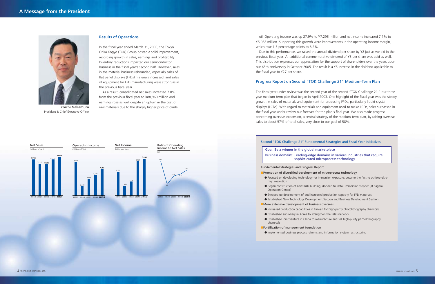### Results of Operations

As a result, consolidated net sales increased 7.0% from the previous fiscal year to ¥88,960 million and earnings rose as well despite an upturn in the cost of Yoichi Nakamura raw materials due to the sharply higher price of crude

In the fiscal year ended March 31, 2005, the Tokyo Ohka Kogyo (TOK) Group posted a solid improvement, recording growth in sales, earnings and profitability. Inventory reductions impacted our semiconductor business in the fiscal year's second half. However, sales in the material business rebounded, especially sales of flat panel displays (FPDs) materials increased, and sales of equipment for FPD manufacturing were strong as in the previous fiscal year.



President & Chief Executive Officer

- Focused on developing technology for immersion exposure; became the first to achieve ultrahigh resolution
- Operation Center)
- Stepped up development of and increased production capacity for FPD materials
- Established New Technology Development Section and Business Development Section
- ■More extensive development of business overseas
- 
- Established subsidiary in Korea to strengthen the sales network
- Established joint venture in China to manufacture and sell high-purity photolithography chemicals
- ■Fortification of management foundation
- Implemented business process reforms and information system restructuring



2001/3 2002/3 2003/3 2004/3 **2005/3**

### Second "TOK Challenge 21" Fundamental Strategies and Fiscal Year Initiatives

### Fundamental Strategies and Progress Report

■Promotion of diversified development of microprocess technology

● Began construction of new R&D building; decided to install immersion stepper (at Sagami

The fiscal year under review was the second year of the second "TOK Challenge 21," our threeyear medium-term plan that began in April 2003. One highlight of the fiscal year was the steady growth in sales of materials and equipment for producing FPDs, particularly liquid-crystal displays (LCDs). With regard to materials and equipment used to make LCDs, sales surpassed in the fiscal year under review our forecast for the plan's final year. We also made progress concerning overseas expansion, a central strategy of the medium-term plan, by raising overseas sales to about 57% of total sales, very close to our goal of 58%.



● Increased production capabilities in Taiwan for high-purity photolithography chemicals

Goal: Be a winner in the global marketplace Business domains: Leading-edge domains in various industries that require sophisticated microprocess technology

oil. Operating income was up 27.9% to ¥7,295 million and net income increased 7.1% to ¥5,088 million. Supporting this growth were improvements in the operating income margin, which rose 1.3 percentage points to 8.2%.

Due to this performance, we raised the annual dividend per share by ¥2 just as we did in the previous fiscal year. An additional commemorative dividend of ¥3 per share was paid as well. This distribution expresses our appreciation for the support of shareholders over the years upon our 65th anniversary in October 2005. The result is a ¥5 increase in the dividend applicable to the fiscal year to ¥27 per share.

### Progress Report on Second "TOK Challenge 21" Medium-Term Plan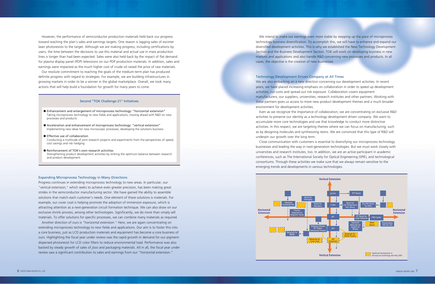We intend to make our earnings even more stable by stepping up the pace of microprocess technology business diversification. To accomplish this, we will have to enhance and expand our diversified development activities. This is why we established the New Technology Development Section and the Business Development Section. TOK will work on developing business in new markets and applications and also handle R&D concerning new processes and products. In all cases, the objective is the creation of new businesses.

Technology Development Driven Company at All Times We are also embarking on a new direction concerning our development activities. In recent years, we have placed increasing emphasis on collaboration in order to speed up development activities, cut costs and spread out risk exposure. Collaboration covers equipment manufacturers, our suppliers, universities, research institutes and other partners. Working with these partners gives us access to more new product development themes and a much broader environment for development activities.

Even as we recognize the importance of collaboration, we are concentrating on exclusive R&D activities to preserve our identity as a technology development driven company. We want to accumulate more core technologies and use that knowledge to conduct more distinctive activities. In this respect, we are targeting themes where we can focus on manufacturing, such as by designing molecules and synthesizing resins. We are convinced that this type of R&D will underpin our growth over the long term.

Close communication with customers is essential to diversifying our microprocess technology businesses and leading the way in next-generation technologies. But we must work closely with universities and research institutes, too. In addition, we are an active participant in academic conferences, such as The International Society for Optical Engineering (SPIE), and technological consortiums. Through these activities we make sure that we always remain sensitive to the emerging trends and developments in various technologies.

Another direction of ours is "horizontal extension." Here, we are again concentrating on extending microprocess technology to new fields and applications. Our aim is to foster this into a core business, just as LCD production materials and equipment has become a core business of ours. Highlighting the fiscal year under review was the rapid growth in demand for our pigmentdispersed photoresist for LCD color filters to reduce environmental load. Performance was also backed by steady growth of sales of *jisso* and packaging materials. All in all, the fiscal year under review saw a significant contribution to sales and earnings from our "horizontal extension."

However, the performance of semiconductor production materials held back our progress toward reaching the plan's sales and earnings targets. One reason is lagging sales of excimer laser photoresists to the target. Although we are making progress, including certifications by users, the time between the decisions to use this material and actual use in mass production lines is longer than had been expected. Sales were also held back by the impact of flat demand for plasma display panel (PDP) televisions on our PDP production materials. In addition, sales and earnings were impacted as the much higher cost of crude oil raised the price of raw materials.

Our resolute commitment to reaching the goals of the medium-term plan has produced definite progress with regard to strategies. For example, we are building infrastructures in growing markets in order to be a winner in the global marketplace. Overall, we took many actions that will help build a foundation for growth for many years to come.

### Expanding Microprocess Technology in Many Directions

Progress continues in extending microprocess technology to new areas. In particular, our "vertical extension," which seeks to achieve even greater precision, has been making great strides in the semiconductor manufacturing sector. We have gained the ability to assemble solutions that match each customer's needs. One element of these solutions is materials. For example, our cover coat is helping promote the adoption of immersion exposure, which is attracting attention as a next-generation circuit formation technique. We can also draw on our exclusive shrink process, among other technologies. Significantly, we do more than simply sell materials. To offer solutions for specific processes, we can combine many materials as required.



### Second "TOK Challenge 21" Initiatives

- Enhancement and enlargement of microprocess technology: "horizontal extension" Taking microprocess technology to new fields and applications; moving ahead with R&D on new processes and products
- Acceleration and enhancement of microprocess technology: "vertical extension" Implementing new ideas for new microscopic processes; developing the solutions business
- Effective use of collaboration Conducting a multitude of joint research projects and experiments from the perspectives of speed, cost savings and risk hedging
- Reinforcement of TOK's own research activities Strengthening product development activities by striking the optimum balance between research and product development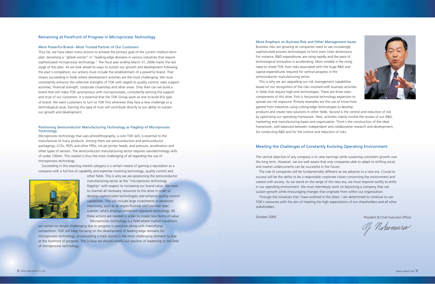

### Remaining at Forefront of Progress in Microprocess Technology

### More Powerful Brand—Most Trusted Partner of Our Customers

### Positioning Semiconductor Manufacturing Technology as Flagship of Microprocess **Technology**

Thus far, we have taken many actions to achieve the primary goal of the current medium-term plan: becoming a "global winner" in "leading-edge domains in various industries that require sophisticated microprocess technology." The fiscal year ending March 31, 2006 marks the last stage of this plan. As we look ahead to ways to sustain our growth and development following the plan's completion, our actions must include the establishment of a powerful brand. That means succeeding in fields where development activities are the most challenging. We must consistently enhance the collective strengths of TOK with regard to quality control, sales support activities, financial strength, corporate citizenship and other areas. Only then can we build a brand that will make TOK synonymous with microprocesses, consistently earning the support and trust of our customers. It is essential that the TOK Group work as one to build this type of brand. We want customers to turn to TOK first whenever they face a new challenge or a technological issue. Earning this type of trust will contribute directly to our ability to sustain our growth and development.

Microprocess technology that uses photolithography, a core TOK skill, is essential to the manufacture of many products. Among them are semiconductors and semiconductor packagings; LCDs, PDPs and other FPDs; ink-jet printer heads; and pressure, acceleration and other types of sensors. The semiconductor manufacturing sector requires nanotechnology skills of under 100nm. This market is thus the most challenging of all regarding the use of microprocess technology.

Succeeding in this exacting market category is a certain means of gaining a reputation as a company with a full line of capability and expertise involving technology, quality control and



other fields. This is why we are positioning the semiconductor manufacturing sector as the "microprocess technology flagship" with respect to increasing our brand value. We need to channel all necessary resources to this drive in order to develop sophisticated technologies and enhance quality control capabilities. This will include large investments in advanced machinery, such as an argon-fluoride (ArF) excimer laser scanner, which employs immersion exposure technology. All these actions are needed in order to create new forms of value. Microprocess technology is a field where market conditions

are certain to remain challenging due to progress in precision along with intensifying competition. TOK will keep focusing on the development of leading-edge domains for microprocess technology, accumulating a track record in the most challenging domains to stay at the forefront of progress. This is how we should solidify our position of leadership in the field of microprocess technology.

### More Emphasis on Business Risk and Other Management Issues

Business risks are growing as companies need to use increasingly sophisticated process technologies to form even tinier dimensions. For instance, R&D expenditures are rising rapidly and the pace of technological innovation is accelerating. Most notable is the rising need to shield TOK from risks associated with the huge R&D and capital expenditures required for vertical progress in the semiconductor manufacturing sector.

This is why we are upgrading our risk management capabilities based on our recognition of the risks involved with business activities in fields that require high-end technologies. There are three main components of this drive. First is horizontal technology expansion to spread out risk exposure. Primary examples are the use of know-how gained from industries using cutting-edge technologies to develop products and create new solutions in other fields. Second is the control and reduction of risk by optimizing our operating framework. Here, activities mainly involve the review of our R&D, marketing and manufacturing bases and organization. Third is the construction of the ideal framework, well balanced between independent and collaborative research and development, for conducting R&D and for the control and reduction of risks.

### Meeting the Challenges of Constantly Evolving Operating Environment

The central objective of any company is to raise earnings while sustaining consistent growth over the long term. However, we are well aware that only companies able to adapt to shifting social and market undercurrents can be successful in the future.

The role of companies will be fundamentally different as we advance to a new era. Crucial to success will be the ability to be a responsible corporate citizen concerning the environment and coexist with society. As we stand on the verge of this new era, we must respond swiftly to shifts in our operating environment. We must relentlessly work on becoming a company that can sustain growth while encouraging changes that originate from within our organization.

Through the initiatives that I have outlined in this letter, I am determined to continue to use TOK's resources with the aim of meeting the high expectations of our shareholders and all other stakeholders.

October 2005 President & Chief Executive Officer

Of. Nahamure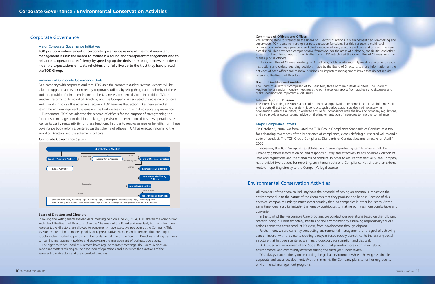### Committee of Officers and Officers

While taking steps to strengthen the Board of Directors' functions in management decision-making and supervision, TOK is also reinforcing business execution functions. For this purpose, a multi-level organization, including a president and chief executive officer, executive officers and officers, has been established. This provides a comprehensive framework for the areas of authority, capabilities and other aspects of the duties of each officer. Furthermore, TOK established the Committee of Officers, which is made up of all officers.

The Committee of Officers, made up of 15 officers, holds regular monthly meetings in order to issue instructions and orders regarding decisions made by the Board of Directors, to share information on the activities of each officer and to make decisions on important management issues that do not require referral to the Board of Directors.

### Board of Auditors and Auditors

The Board of Auditors is comprised of four auditors, three of them outside auditors. The Board of Auditors holds regular monthly meetings at which it receives reports from auditors and discusses and makes decisions on important audit issues.

### **Internal Auditing Division**

The Internal Auditing Division is a part of our internal organization for compliance. It has full-time staff and reports directly to the president. It conducts such periodic audits as deemed necessary, in cooperation with the auditors, in order to ensure full compliance with the law and company regulations, and also provides guidance and advice on the implementation of measures to improve compliance.

### Major Compliance Efforts

On October 6, 2004, we formulated the TOK Group Compliance Standards of Conduct as a tool for enhancing awareness of the importance of compliance, clearly defining our shared values and a code of conduct. The TOK Group Compliance Standards of Conduct became effective on April 1, 2005.

Moreover, the TOK Group has established an internal reporting system to ensure that the Company gathers information on and responds quickly and effectively to any possible violation of laws and regulations and the standards of conduct. In order to assure confidentiality, the Company has provided two options for reporting: an internal route of a Compliance Hot Line and an external route of reporting directly to the Company's legal counsel.

### Major Corporate Governance Initiatives

TOK positions enhancement of corporate governance as one of the most important management issues: the means to maintain a sound and transparent management and to enhance its operational efficiency by speeding up the decision-making process in order to meet the expectations of its stakeholders and fully live up to the trust they have placed in the TOK Group.

### Summary of Corporate Governance Units

As a company with corporate auditors, TOK uses the corporate auditor system. Actions will be taken to upgrade audits performed by corporate auditors by using the greater authority of these auditors provided for in amendments to the Japanese Commercial Code. In addition, TOK is enacting reforms to its Board of Directors, and the Company has adopted the scheme of officers and is working to use this scheme effectively. TOK believes that actions like these aimed at strengthening management systems are the best means of improving its corporate governance.

Furthermore, TOK has adopted the scheme of officers for the purpose of strengthening the functions in management decision-making, supervision and execution of business operations, as well as to clarify responsibility for these functions. In order to reap even greater benefits from these governance body reforms, centered on the scheme of officers, TOK has enacted reforms to the Board of Directors and the scheme of officers.

### Board of Directors and Directors

Following the 74th general shareholders' meeting held on June 29, 2004, TOK altered the composition and role of the Board of Directors. Only the Chairman of the Board and President, both of whom are representative directors, are allowed to concurrently have executive positions at the Company. This revision creates a board made up solely of Representative Directors and Directors, thus creating a structure ideally suited to performing the fundamental role of the Board of Directors: making decisions concerning management policies and supervising the management of business operations.

The eight-member Board of Directors holds regular monthly meetings. The Board decides on important matters relating to the execution of operations and supervises the functions of the representative directors and the individual directors.

All members of the chemical industry have the potential of having an enormous impact on the environment due to the nature of the chemicals that they produce and handle. Because of this, chemical companies undergo much closer scrutiny than do companies in other industries. At the same time, ours is a vital industry that greatly contributes to making our lives more comfortable and convenient.

actions across the entire product life cycle, from development through disposal.

- In the spirit of the Responsible Care program, we conduct our operations based on the following precept: doing our best for safety, health and the environment by assuming responsibility for our
- Furthermore, we are currently conducting environmental management for the goal of achieving zero emissions, with the view to creating a recycle-based society diametrical to the existing social
- TOK issued an Environmental and Social Report that provides more information about
- TOK always places priority on protecting the global environment while achieving sustainable
- corporate and social development. With this in mind, the Company plans to further upgrade its

structure that has been centered on mass production, consumption and disposal.

environmental and community activities during the fiscal year under review.

environmental management programs.



### Corporate Governance System

### Corporate Governance

### Environmental Conservation Activities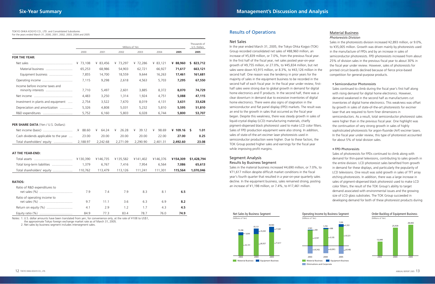|                                                                                                             |                              |                                 |                                 | Millions of Yen                 |                                 |                                 | Thousands of<br>U.S. Dollars |
|-------------------------------------------------------------------------------------------------------------|------------------------------|---------------------------------|---------------------------------|---------------------------------|---------------------------------|---------------------------------|------------------------------|
|                                                                                                             | 2000                         | 2001                            | 2002                            | 2003                            | 2004                            | 2005                            | 2005                         |
| <b>FOR THE YEAR:</b>                                                                                        |                              |                                 |                                 |                                 |                                 |                                 |                              |
|                                                                                                             | ¥ 73,108                     | ¥ 83,456                        | ¥ 73,297                        | ¥ 72,286                        | ¥ 83,121                        | ¥ 88,960                        | \$ 823,712                   |
| Material business                                                                                           | 65,253                       | 68,986                          | 54,903                          | 62,721                          | 66,927                          | 71,617                          | 663,121                      |
| Equipment business                                                                                          | 7,855                        | 14,700                          | 18,559                          | 9,644                           | 16,263                          | 17,461                          | 161,681                      |
|                                                                                                             | 7,115                        | 9,298                           | 2,618                           | 4,563                           | 5,703                           | 7,295                           | 67,550                       |
| Income before income taxes and<br>minority interests                                                        | 7,710                        | 5,497                           | 2,601                           | 3,885                           | 8,372                           | 8,070                           | 74,729                       |
|                                                                                                             | 4,483                        | 3,250                           | 1,314                           | 1,924                           | 4,751                           | 5,088                           | 47,115                       |
| Investment in plants and equipment                                                                          | 2,754                        | 3,522                           | 7,670                           | 8,019                           | 4,131                           | 3,631                           | 33,628                       |
| Depreciation and amortization                                                                               | 5,326                        | 4,808                           | 5,031                           | 5,232                           | 5,810                           | 5,595                           | 51,810                       |
| R&D expenditures                                                                                            | 5,752                        | 6,160                           | 5,803                           | 6,028                           | 6,744                           | 5,800                           | 53,707                       |
| PER SHARE DATA (Yen / U.S. Dollars):<br>Cash dividends applicable to the year<br>Total shareholders' equity | ¥ 88.60<br>23.00<br>2,188.97 | 64.24<br>¥<br>20.00<br>2,242.68 | 26.28<br>¥<br>20.00<br>2,271.09 | 39.12<br>¥<br>20.00<br>2,290.90 | 98.69<br>¥<br>22.00<br>2,401.31 | ¥ $109.16$<br>27.00<br>2,492.60 | 1.01<br>S.<br>0.25<br>23.08  |
| AT THE YEAR-END:                                                                                            |                              |                                 |                                 |                                 |                                 |                                 |                              |
|                                                                                                             | ¥130,390                     | ¥146,735                        | ¥135,582                        | ¥141,402                        | ¥146,376                        | ¥154,309                        | \$1,428,794                  |
| Total long-term liabilities                                                                                 | 1,379                        | 6,767                           | 7,416                           | 7,954                           | 6,564                           | 7,086                           | 65,613                       |
|                                                                                                             | 110,762                      | 113,479                         | 113,126                         | 111,241                         | 111,301                         | 115,564                         | 1,070,046                    |
| <b>RATIOS:</b>                                                                                              |                              |                                 |                                 |                                 |                                 |                                 |                              |
| Ratio of R&D expenditures to                                                                                | 7.9                          | 7.4                             | 7.9                             | 8.3                             | 8.1                             | 6.5                             |                              |
| Ratio of operating income to                                                                                | 9.7                          | 11.1                            | 3.6                             | 6.3                             | 6.9                             | 8.2                             |                              |
|                                                                                                             | 4.1                          | 2.9                             | 1.2                             | 1.7                             | 4.3                             | 4.5                             |                              |
|                                                                                                             | 84.9                         | 77.3                            | 83.4                            | 78.7                            | 76.0                            | 74.9                            |                              |

### TOKYO OHKA KOGYO CO., LTD. and Consolidated Subsidiaries TOKYO OHKA KOGYO CO., LTD. and Consolidated Subsidiaries (Subsidiaries and 2005 Results of Operations Results of Operations

Notes: 1. U.S. dollar amounts have been translated from yen, for convenience only, at the rate of ¥108 to US\$1, the approximate Tokyo foreign exchange market rate as of March 31, 2005.

2. Net sales by business segment includes intersegment sales.

### Net Sales

In the year ended March 31, 2005, the Tokyo Ohka Kogyo (TOK) Group recorded consolidated net sales of ¥88,960 million, an increase of ¥5,839 million, or 7.0%, from the previous fiscal year. In the first half of the fiscal year, net sales posted year-on-year growth of ¥9,755 million, or 27.0%, to ¥45,834 million, but net sales were down ¥3,915 million, or 8.3%, to ¥43,126 million in the second half. One reason was the tendency in prior years for the majority of sales in the equipment business to be recorded in the second half of each fiscal year. In the fiscal year under review, firsthalf sales were strong due to global growth in demand for digital home electronics and IT products. In the second half, there was a clear downturn in demand due to excessive inventories of digital home electronics. There were also signs of stagnation in the semiconductor and flat panel display (FPD) markets. The result was an end to the growth in sales that occurred as the fiscal year began. Despite this weakness, there was steady growth in sales of liquid-crystal display (LCD) manufacturing materials, chiefly pigment-dispersed black photoresist used to make LCD color filters. Sales of FPD production equipment were also strong. In addition, sales of state-of-the-art excimer laser photoresists used in semiconductor production were higher. Due to these factors, the TOK Group posted higher sales and earnings for the fiscal year while improving profit margins.

### Segment Analysis Results by Business Segment

Sales in the material business increased ¥4,690 million, or 7.0%, to ¥71,617 million despite difficult market conditions in the fiscal year's fourth quarter that resulted in a year-on-year quarterly sales decline. In the equipment business, sales remained strong, posting an increase of ¥1,198 million, or 7.4%, to ¥17,461 million.

### Material Business

### *Photoresists Division*

Sales in the photoresists division increased ¥2,893 million, or 9.0%, to ¥35,005 million. Growth was driven mainly by photoresists used in the manufacture of FPDs and by an increase in sales of semiconductor photoresists. FPD photoresists increased from about 25% of division sales in the previous fiscal year to about 30% in the fiscal year under review. However, sales of photoresists for printed circuit boards declined because of fierce price-based competition for general-purpose products.

### • Semiconductor Photoresists

Sales continued to climb during the fiscal year's first half along with rising demand for digital home electronics. However, demand weakened in the second half as manufacturers cut inventories of digital home electronics. This weakness was offset by growth in sales of state-of-the-art photoresists for excimer laser that are required to form finer dimensions in semiconductors. As a result, total semiconductor photoresist sales were higher than in the previous fiscal year. One highlight was the continuation of very strong growth in sales of highly sophisticated photoresists for argon-fluoride (ArF) excimer lasers. In the fiscal year under review, this type of photoresist accounted for about 5% of total division sales.

### • FPD Photoresists

Sales of photoresists for FPDs continued to climb along with demand for thin-panel televisions, contributing to sales growth in the entire division. LCD photoresist sales benefited from growth in demand for these displays, and particularly the popularity of LCD televisions. One result was solid growth in sales of TFT array etching photoresists. In addition, there was a large increase in sales of pigment-dispersed black photoresist used to make LCD color filters, the result of the TOK Group's ability to target demand associated with environmental issues and the growing size of LCD glass substrates. The TOK Group succeeded in developing demand for both of these photoresist products during





### Order Backlog of Equipment Business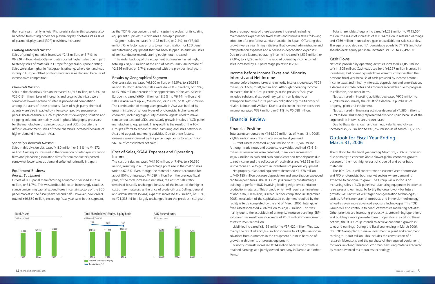the fiscal year, mainly in Asia. Photoresist sales in this category also benefited from rising orders for plasma display photoresists as sales of plasma display panel (PDP) televisions increased.

### *Printing Materials Division*

Sales of printing materials increased ¥243 million, or 3.7%, to ¥6,820 million. Photopolymer plates posted higher sales due in part to steady sales of materials in Europe for general-purpose printing. Sales were also higher in flexographic printing, where demand was strong in Europe. Offset printing materials sales declined because of intense sales competition.

### *Chemicals Division*

Sales in the chemicals division increased ¥1,915 million, or 8.3%, to ¥25,013 million. Sales of inorganic and organic chemicals were somewhat lower because of intense price-based competition among the users of these products. Sales of high-purity chemical agents were also impacted by intense competitive pressure on prices. These chemicals, such as photoresist developing solution and stripping solution, are mainly used in photolithography processes for the manufacture of semiconductors and LCDs. Despite this difficult environment, sales of these chemicals increased because of higher demand in eastern Asia.

### *Specialty Chemicals Division*

Sales in this division decreased ¥180 million, or 3.8%, to ¥4,572 million. Coating source used in the formation of interlayer insulation films and planarizing insulation films for semiconductors posted somewhat lower sales as demand softened, primarily in Japan.

### Equipment Business

### *Process Equipment*

Orders of LCD panel manufacturing equipment declined ¥9,214 million, or 31.7%. This was attributable to an increasingly cautious stance concerning capital expenditures in certain sectors of the LCD panel market in the fiscal year's second half. However, new orders totaled ¥19,869 million, exceeding fiscal year sales in this segment,

as the TOK Group concentrated on capturing orders for its coating equipment "Spinless," which uses a non-spin process.

Segment sales increased ¥1,198 million, or 7.4%, to ¥17,461 million. One factor was efforts to earn certification for LCD panel manufacturing equipment that has been shipped. In addition, sales of semiconductor manufacturing equipment increased.

The order backlog of the equipment business remained high, totaling ¥28,465 million at the end of March 2005, an increase of ¥2,526 million, or 9.7%, compared with the previous fiscal year.

### Results by Geographical Segment

Overseas sales increased ¥6,800 million, or 15.5%, to ¥50,582 million. In North America, sales were down ¥537 million, or 6.9%, to ¥7,266 million because of the appreciation of the yen. Sales in Europe increased ¥960 million, or 18.6%, to ¥6,141 million and sales in Asia were up ¥6,254 million, or 20.3%, to ¥37,017 million. The continuation of strong sales growth in Asia was backed by growth in sales of various types of photoresists, higher sales of chemicals, including high-purity chemical agents used to make semiconductors and LCDs, and steady growth in sales of LCD panel manufacturing equipment. This growth is the result of the TOK Group's efforts to expand its manufacturing and sales network in Asia and upgrade marketing activities. Due to these factors, overseas sales increased by 4.2 percentage points to account for 56.9% of consolidated net sales.

### Cost of Sales, SG&A Expenses and Operating Income

The cost of sales increased ¥4,180 million, or 7.4%, to ¥60,330 million, resulting in a 0.2 percentage point rise in the cost of sales ratio to 67.8%. Even though the material business accounted for about 80%, or increased ¥4,689 million from the previous fiscal year, of the total increase in net sales, the cost of sales ratio remained basically unchanged because of the impact of the higher cost of raw materials as the price of crude oil rose. Selling, general and administrative (SG&A) expenses increased ¥66 million, or 0.3%, to ¥21,335 million, largely unchanged from the previous fiscal year.

Several components of these expenses increased, including maintenance expenses for fixed assets and business taxes following adoption of a pro forma standard taxation in Japan. Offsetting this growth were streamlining initiatives that lowered administrative and transportation expenses and a decline in depreciation expenses. Due to these factors, operating income increased ¥1,592 million, or 27.9%, to ¥7,295 million. The ratio of operating income to net sales increased by 1.3 percentage points to 8.2%.

### Income before Income Taxes and Minority Interests and Net Income

Income before income taxes and minority interests decreased ¥301 million, or 3.6%, to ¥8,070 million. Although operating income increased, the TOK Group earnings in the previous fiscal year included substantial extraordinary gains, mainly due to an exemption from the future pension obligations by the Ministry of Health, Labour and Welfare. Due to a decline in income taxes, net income increased ¥337 million, or 7.1%, to ¥5,088 million.

### Financial Review

### Financial Position

Total assets amounted to ¥154,309 million as of March 31, 2005, ¥7,933 million more than the previous fiscal year-end.

Current assets increased ¥8,585 million to ¥103,502 million. Although trade notes and accounts receivables declined ¥2,413 million as receivables were collected, there were increases of ¥6,477 million in cash and cash equivalents and time deposits due to net income and the collection of receivables and ¥4,325 million in inventories due to growth in inventories of process equipment.

Net property, plant and equipment decreased ¥1,378 million to ¥40,185 million because depreciation and amortization exceeded capital expenditures. The TOK Group is currently constructing a building to perform R&D involving leading-edge semiconductor production materials. This project, which will require an investment of about ¥6,500 million, is scheduled for completion in December 2005. Installation of the sophisticated equipment required by the facility is to be completed by the end of March 2006. Intangible fixed assets increased ¥886 million to ¥2,060 million. This was mainly due to the acquisition of enterprise resource planning (ERP) software. The result was a decrease of ¥651 million in non-current assets to ¥50,807 million.

Liabilities increased ¥3,156 million to ¥37,422 million. This was mainly the result of a ¥1,886 million increase to ¥11,848 million in advances from customers in the equipment business because of growth in shipments of process equipment.

Minority interests increased ¥514 million because of growth in retained earnings at a jointly owned company in Taiwan and other items.

Total shareholders' equity increased ¥4,263 million to ¥115,564 million, the result of increases of ¥3,934 million in retained earnings and ¥269 million in unrealized gain on available-for-sale securities. The equity ratio declined 1.1 percentage points to 74.9% and total shareholders' equity per share increased ¥91.29 to ¥2,492.60.

### Cash Flows

Net cash provided by operating activities increased ¥7,050 million to ¥11,805 million. Cash was used for a ¥4,297 million increase in inventories, but operating cash flows were much higher than the previous fiscal year because of cash provided by income before income taxes and minority interests, depreciation and amortization, a decrease in trade notes and accounts receivables due to progress in collection, and other items.

Net cash used in investing activities decreased ¥976 million to ¥5,200 million, mainly the result of a decline in purchases of property, plant and equipment.

Net cash used in financing activities decreased ¥4,385 million to ¥929 million. This mainly represented dividends paid because of the large decline in own shares repurchased.

Due to these items, cash and cash equivalents, end of year increased ¥5,775 million to ¥46,752 million as of March 31, 2005.

### Outlook for Fiscal Year Ending March 31, 2006

The outlook for the fiscal year ending March 31, 2006 is uncertain due primarily to concerns about slower global economic growth because of the much higher cost of crude oil and other basic materials.

The TOK Group will concentrate on excimer laser photoresists and FPD photoresists, both market sectors where demand is expected to continue to grow. The Group will also focus on increasing sales of LCD panel manufacturing equipment in order to raise sales and earnings. To fortify the groundwork for future growth, R&D activities will target next-generation technologies, such as ArF excimer laser photoresists and immersion technology, as well as even more advanced exposure technologies. The TOK Group will also continue to conduct extensive marketing activities. Other priorities are increasing productivity, streamlining operations and building a more powerful base of operations. By taking these actions, the TOK Group intends to achieve continued growth in sales and earnings. During the fiscal year ending in March 2006, the TOK Group plans to make investment in plant and equipment totaling ¥10,500 million. This includes the construction of a research laboratory, and the purchase of the required equipment, for work involving semiconductor manufacturing materials required by more advanced microprocess technology.





2004

146,376

2003

141,402

Total Assets (Millions of Yen)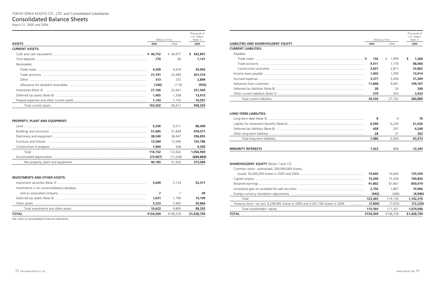| <b>LIABILITIES AND SHAREHOLDERS' EQUITY</b> |
|---------------------------------------------|
| <b>CURRENT LIABILITIES:</b>                 |
| Payables:                                   |
|                                             |
|                                             |
|                                             |
|                                             |
|                                             |
|                                             |
|                                             |
|                                             |
| Total current liabilities                   |
|                                             |

|                                                                                               |                    | Millions of Yen    | Thousands of<br>U.S. Dollars<br>(Note 1) |
|-----------------------------------------------------------------------------------------------|--------------------|--------------------|------------------------------------------|
| LIABILITIES AND SHAREHOLDERS' EQUITY                                                          | 2005               | 2004               | 2005                                     |
| <b>CURRENT LIABILITIES:</b>                                                                   |                    |                    |                                          |
| Payables:                                                                                     |                    |                    |                                          |
|                                                                                               | 136                | ¥ 1,959            | \$<br>1,266                              |
|                                                                                               | 9,511              | 7,778              | 88,066                                   |
|                                                                                               | 3,657              | 2,871              | 33,862                                   |
|                                                                                               | 1,405              | 1,295              | 13,014                                   |
|                                                                                               | 3,377              | 3,456              | 31,269                                   |
|                                                                                               | 11,848             | 9,961              | 109,707                                  |
|                                                                                               | 28                 | 24                 | 268                                      |
|                                                                                               | 370                | 353                | 3,433                                    |
| Total current liabilities                                                                     | 30,336             | 27,702             | 280,889                                  |
| Total long-term liabilities                                                                   | 458<br>28<br>7,086 | 297<br>27<br>6,564 | 4,248<br>262<br>65,613                   |
| <b>MINORITY INTERESTS</b>                                                                     | 1,322              | 808                | 12,245                                   |
| <b>SHAREHOLDERS' EQUITY</b> (Notes 7 and 13):<br>Common stock-authorized, 200,000,000 shares; |                    |                    |                                          |
|                                                                                               | 14,640             | 14,640             | 135,559                                  |
|                                                                                               | 15,209             | 15,208             | 140,826                                  |
|                                                                                               | 91,802             | 87,867             | 850,019                                  |
|                                                                                               | 2,156              | 1,887              | 19,966                                   |
|                                                                                               | (442)              | (468)              | (4,096)                                  |
| Total                                                                                         | 123,365            | 119,135            | 1,142,276                                |
|                                                                                               |                    |                    |                                          |
| Treasury stock-at cost, 4,248,992 shares in 2005 and 4,267,184 shares in 2004                 | (7,800)<br>.       | (7, 833)           |                                          |
| Total shareholders' equity                                                                    | 115,564            | 111,301            | (72, 229)<br>1,070,046                   |

| IABILITIES AND SHAREHOLDERS' EQUITY                                                | 2005     | Millions of Yen |                  |
|------------------------------------------------------------------------------------|----------|-----------------|------------------|
|                                                                                    |          | 2004            | (Note 1)<br>2005 |
| <b>CURRENT LIABILITIES:</b>                                                        |          |                 |                  |
| Payables:                                                                          |          |                 |                  |
|                                                                                    | 136      | ¥ 1,959         | \$<br>1,266      |
|                                                                                    | 9,511    | 7,778           | 88,066           |
|                                                                                    | 3,657    | 2,871           | 33,862           |
|                                                                                    | 1,405    | 1,295           | 13,014           |
|                                                                                    | 3,377    | 3,456           | 31,269           |
|                                                                                    | 11,848   | 9,961           | 109,707          |
|                                                                                    | 28       | 24              | 268              |
|                                                                                    | 370      | 353             | 3,433            |
| Total current liabilities                                                          | 30,336   | 27,702          | 280,889          |
|                                                                                    |          |                 |                  |
| <b>ONG-TERM LIABILITIES:</b>                                                       |          |                 |                  |
|                                                                                    | 8        | 9               | 76               |
|                                                                                    | 6,590    | 6,229           | 61,026           |
|                                                                                    | 458      | 297             | 4,248            |
|                                                                                    | 28       | 27              | 262              |
| Total long-term liabilities                                                        | 7,086    | 6,564           | 65,613           |
| <b>MINORITY INTERESTS</b>                                                          | 1,322    | 808             | 12,245           |
| <b>SHAREHOLDERS' EQUITY</b> (Notes 7 and 13):                                      |          |                 |                  |
| Common stock-authorized, 200,000,000 shares;                                       |          |                 |                  |
|                                                                                    | 14,640   | 14,640          | 135,559          |
|                                                                                    | 15,209   | 15,208          | 140,826          |
|                                                                                    | 91,802   | 87,867          | 850,019          |
|                                                                                    | 2,156    | 1,887           | 19,966           |
|                                                                                    | (442)    | (468)           | (4,096)          |
| Total                                                                              | 123,365  | 119,135         | 1,142,276        |
| Treasury stock-at cost, 4,248,992 shares in 2005 and 4,267,184 shares in 2004<br>. | (7,800)  | (7, 833)        | (72, 229)        |
| Total shareholders' equity                                                         | 115,564  | 111,301         | 1,070,046        |
| <b>TOTAL</b>                                                                       | ¥154,309 | ¥146,376        | \$1,428,794      |

|                                                                                                                                                                                                                                |         | Millions of Yen |               |  |
|--------------------------------------------------------------------------------------------------------------------------------------------------------------------------------------------------------------------------------|---------|-----------------|---------------|--|
| <b>ASSETS</b>                                                                                                                                                                                                                  | 2005    | 2004            | 2005          |  |
| <b>CURRENT ASSETS:</b>                                                                                                                                                                                                         |         |                 |               |  |
|                                                                                                                                                                                                                                |         | ¥ 40.977        | 432,891<br>S. |  |
|                                                                                                                                                                                                                                | 770     | 68              | 7.131         |  |
| Receivables:                                                                                                                                                                                                                   |         |                 |               |  |
| Trade notes                                                                                                                                                                                                                    | 4,309   | 4.974           | 39,903        |  |
|                                                                                                                                                                                                                                | 21,741  | 23,490          | 201,314       |  |
|                                                                                                                                                                                                                                | 313     | 372             | 2,899         |  |
|                                                                                                                                                                                                                                | (100)   | (119)           | (935)         |  |
|                                                                                                                                                                                                                                | 27,166  | 22.841          | 251,545       |  |
| Deferred tax assets (Note 8) manufactured contains and the contract of the contract of the contract of the contract of the contract of the contract of the contract of the contract of the contract of the contract of the con | 1,405   | 1.208           | 13,013        |  |
|                                                                                                                                                                                                                                | 1,143   | 1.103           | 10,591        |  |
| Total current assets                                                                                                                                                                                                           | 103,502 | 94.917          | 958,355       |  |

### **PROPERTY, PLANT AND EQUIPMENT:**

| l and l                           | 9,336    | 9.311    | 86,449    |
|-----------------------------------|----------|----------|-----------|
|                                   | 51,685   | 51.849   | 478,571   |
|                                   | 38,540   | 38.447   | 356,855   |
|                                   | 13,584   | 12.446   | 125,786   |
|                                   | 1,004    | 546      | 9,305     |
| Total                             | 114.152  | 112.602  | 1.056.969 |
|                                   | (73.967) | (71.038) | (684,884) |
| Net property, plant and equipment | 40,185   | 41.563   | 372,084   |

### **INVESTMENTS AND OTHER ASSETS:**

|                                             | 5,649    | 5.134    | 52,311      |
|---------------------------------------------|----------|----------|-------------|
| Investments in an unconsolidated subsidiary |          |          |             |
|                                             |          |          | 69          |
|                                             | 1,631    | 1.790    | 15,109      |
|                                             | 3,333    | 2.962    | 30,864      |
| Total investments and other assets          | 10.622   | 9.895    | 98,355      |
| ΤΟΤΑL                                       | ¥154,309 | ¥146.376 | \$1,428,794 |
|                                             |          |          |             |

See notes to consolidated financial statements.

## Consolidated Balance Sheets

March 31, 2005 and 2004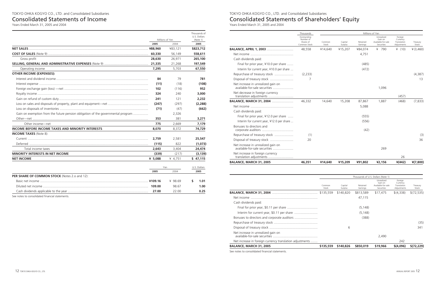|                                                                     | Thousands                                             |                 |                    |                      | Millions of Yen                                           |                                                   |                   |
|---------------------------------------------------------------------|-------------------------------------------------------|-----------------|--------------------|----------------------|-----------------------------------------------------------|---------------------------------------------------|-------------------|
|                                                                     | Outstanding<br>Number of<br>Shares of<br>Common Stock | Common<br>Stock | Capital<br>Surplus | Retained<br>Earnings | Unrealized<br>Gain on<br>Available-for-sale<br>Securities | Foreign<br>Currency<br>Translation<br>Adjustments | Treasury<br>Stock |
| <b>BALANCE, APRIL 1, 2003 </b>                                      | 48,558                                                | ¥14,640         | ¥15,207            | ¥84,074              | ¥ 790                                                     | ¥ $(10)$                                          | ¥ (3,460)         |
|                                                                     |                                                       |                 |                    | 4,751                |                                                           |                                                   |                   |
| Cash dividends paid:                                                |                                                       |                 |                    |                      |                                                           |                                                   |                   |
| Final for prior year, ¥10.0 per share                               |                                                       |                 |                    | (485)                |                                                           |                                                   |                   |
| Interim for current year, ¥10.0 per share                           |                                                       |                 |                    | (472)                |                                                           |                                                   |                   |
| Repurchase of treasury stock                                        | (2.233)                                               |                 |                    |                      |                                                           |                                                   | (4,387)           |
| Disposal of treasury stock                                          | 7                                                     |                 |                    |                      |                                                           |                                                   | 13                |
| Net increase in unrealized gain on<br>available-for-sale securities |                                                       |                 |                    |                      | 1,096                                                     |                                                   |                   |
| Net decrease in foreign currency<br>translation adjustments         |                                                       |                 |                    |                      |                                                           | (457)                                             |                   |
| BALANCE, MARCH 31, 2004                                             | 46,332                                                | 14,640          | 15,208             | 87,867               | 1,887                                                     | (468)                                             | (7, 833)          |
|                                                                     |                                                       |                 |                    | 5,088                |                                                           |                                                   |                   |
| Cash dividends paid:                                                |                                                       |                 |                    |                      |                                                           |                                                   |                   |
| Final for prior year, ¥12.0 per share                               |                                                       |                 |                    | (555)                |                                                           |                                                   |                   |
| Interim for current year, ¥12.0 per share                           |                                                       |                 |                    | (556)                |                                                           |                                                   |                   |
| Bonuses to directors and                                            |                                                       |                 |                    | (42)                 |                                                           |                                                   |                   |
| Repurchase of treasury stock                                        | (1)                                                   |                 |                    |                      |                                                           |                                                   | (3)               |
| Disposal of treasury stock                                          | 20                                                    |                 |                    |                      |                                                           |                                                   | 36                |
| Net increase in unrealized gain on<br>available-for-sale securities |                                                       |                 |                    |                      | 269                                                       |                                                   |                   |
| Net increase in foreign currency<br>translation adjustments         |                                                       |                 |                    |                      |                                                           | 26                                                |                   |
| <b>BALANCE, MARCH 31, 2005</b>                                      | 46,351                                                | ¥14,640         | ¥15,209            | ¥91,802              | ¥2,156                                                    | $*(442)$                                          | $*(7,800)$        |
|                                                                     |                                                       |                 |                    |                      | Thousands of U.S. Dollars (Note 1)                        |                                                   |                   |
|                                                                     |                                                       | Common<br>Stock | Capital<br>Surplus | Retained<br>Earnings | Unrealized<br>Gain on<br>Available-for-sale<br>Securities | Foreign<br>Currency<br>Translation<br>Adjustments | Treasury<br>Stock |
|                                                                     |                                                       |                 | \$140,820          | \$813,589            | \$17,475                                                  | \$(4,338)                                         | \$(72,535)        |
|                                                                     |                                                       |                 |                    | 47,115               |                                                           |                                                   |                   |
| Cash dividends paid:                                                |                                                       |                 |                    |                      |                                                           |                                                   |                   |
|                                                                     |                                                       |                 |                    | (5, 148)             |                                                           |                                                   |                   |
|                                                                     |                                                       |                 |                    | (5, 148)             |                                                           |                                                   |                   |
|                                                                     |                                                       |                 |                    | (388)                |                                                           |                                                   |                   |
|                                                                     |                                                       |                 |                    |                      |                                                           |                                                   | (35)              |
|                                                                     |                                                       |                 | 6                  |                      |                                                           |                                                   | 341               |
| Net increase in unrealized gain on                                  |                                                       |                 |                    |                      | 2,490                                                     |                                                   |                   |
| Net increase in foreign currency translation adjustments            |                                                       |                 |                    |                      |                                                           | 242                                               |                   |
| BALANCE, MARCH 31, 2005                                             |                                                       | \$135,559       | \$140,826          | \$850,019            | \$19,966                                                  | \$(4,096)                                         | \$(72, 229)       |

See notes to consolidated financial statements.

## TOKYO OHKA KOGYO CO., LTD. and Consolidated Subsidiaries Consolidated Statements of Shareholders' Equity

Years Ended March 31, 2005 and 2004

|                                                                                  |         |                 | Thousands of<br>U.S. Dollars |
|----------------------------------------------------------------------------------|---------|-----------------|------------------------------|
|                                                                                  |         | Millions of Yen | (Note 1)                     |
|                                                                                  | 2005    | 2004            | 2005                         |
|                                                                                  |         | ¥83,121         | \$823,712                    |
|                                                                                  |         | 56,149          | 558,611                      |
| Gross profit                                                                     | 28,630  | 26,971          | 265,100                      |
|                                                                                  |         | 21,268          | 197,549                      |
| Operating income                                                                 | 7,295   | 5,703           | 67,550                       |
| <b>OTHER INCOME (EXPENSES):</b>                                                  |         |                 |                              |
|                                                                                  | 84      | 79              | 781                          |
|                                                                                  | (11)    | (18)            | (108)                        |
|                                                                                  | 102     | (116)           | 952                          |
|                                                                                  | 324     | 240             | 3,000                        |
|                                                                                  | 241     | 121             | 2,232                        |
|                                                                                  | (247)   | (297)           | (2, 288)                     |
|                                                                                  | (71)    | (47)            | (662)                        |
| Gain on exemption from the future pension obligation of the governmental program |         | 2,326           |                              |
|                                                                                  | 353     | 381             | 3,271                        |
| Other income-net                                                                 | 775     | 2,669           | 7,179                        |
| <b>INCOME BEFORE INCOME TAXES AND MINORITY INTERESTS</b>                         | 8,070   | 8,372           | 74,729                       |
| <b>INCOME TAXES</b> (Note 8):                                                    |         |                 |                              |
|                                                                                  | 2,759   | 2,581           | 25,547                       |
|                                                                                  | (115)   | 822             | (1,073)                      |
| Total income taxes                                                               | 2,643   | 3,404           | 24,474                       |
| MINORITY INTERESTS IN NET INCOME                                                 | (339)   | (217)           | (3, 139)                     |
| <b>NET INCOME</b>                                                                | ¥ 5,088 | ¥ 4,751         | \$47,115                     |
|                                                                                  |         |                 |                              |
|                                                                                  | 2005    | Yen<br>2004     | U.S. Dollars<br>2005         |
| PER SHARE OF COMMON STOCK (Notes 2.0 and 12):                                    |         |                 |                              |
|                                                                                  |         | ¥ 98.69         | S<br>1.01                    |
|                                                                                  |         | 98.67           | 1.00                         |
|                                                                                  | 27.00   | 22.00           | 0.25                         |

See notes to consolidated financial statements.

## Consolidated Statements of Income

Years Ended March 31, 2005 and 2004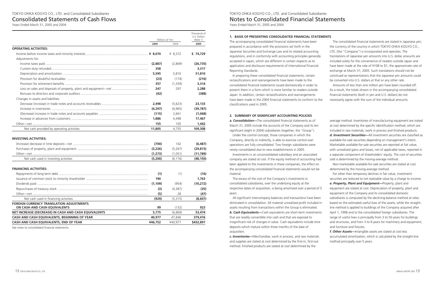### **1. BASIS OF PRESENTING CONSOLIDATED FINANCIAL STATEMENTS**

The accompanying consolidated financial statements have been prepared in accordance with the provisions set forth in the Japanese Securities and Exchange Law and its related accounting regulations, and in conformity with accounting principles generally accepted in Japan, which are different in certain respects as to application and disclosure requirements of International Financial Reporting Standards.

In preparing these consolidated financial statements, certain reclassifications and rearrangements have been made to the consolidated financial statements issued domestically in order to present them in a form which is more familiar to readers outside Japan. In addition, certain reclassifications and rearrangements have been made in the 2004 financial statements to conform to the classifications used in 2005.

The consolidated financial statements are stated in Japanese yen, the currency of the country in which TOKYO OHKA KOGYO CO., LTD. (the "Company") is incorporated and operates. The translations of Japanese yen amounts into U.S. dollar amounts are included solely for the convenience of readers outside Japan and have been made at the rate of ¥108 to \$1, the approximate rate of exchange at March 31, 2005. Such translations should not be construed as representations that the Japanese yen amounts could be converted into U.S. dollars at that or any other rate.

Amounts of less than one million yen have been rounded off. As a result, the totals shown in the accompanying consolidated financial statements (both in yen and U.S. dollars) do not necessarily agree with the sum of the individual amounts.

### **2. SUMMARY OF SIGNIFICANT ACCOUNTING POLICIES**

*a. Consolidation—*The consolidated financial statements as of March 31, 2005 include the accounts of the Company and its ten significant (eight in 2004) subsidiaries (together, the "Group").

Under the control concept, those companies in which the Company, directly or indirectly, is able to exercise control over operations are fully consolidated. Two foreign subsidiaries were newly consolidated due to new establishments in 2005.

Investments in an unconsolidated subsidiary and an associated company are stated at cost. If the equity method of accounting had been applied to the investments in these companies, the effect on the accompanying consolidated financial statements would not be material.

The excess of the cost of the Company's investments in consolidated subsidiaries, over the underlying equity at the respective dates of acquisition, is being amortized over a period of 5 years.

All significant intercompany balances and transactions have been eliminated in consolidation. All material unrealized profit included in assets resulting from transactions within the Group is eliminated. *b. Cash Equivalents—*Cash equivalents are short-term investments that are readily convertible into cash and that are exposed to insignificant risk of changes in value. Cash equivalents include time deposits which mature within three months of the date of acquisition.

*c. Inventories—*Merchandise, work in process, and raw materials and supplies are stated at cost determined by the first-in, first-out method. Finished products are stated at cost determined by the

average method. Inventories of manufacturing equipment are stated at cost determined by the specific identification method, which are included in raw materials, work in process and finished products. *d. Investment Securities—*All investment securities are classified as available-for-sale securities depending on management's intent. Marketable available-for-sale securities are reported at fair value, with unrealized gains and losses, net of applicable taxes, reported in a separate component of shareholders' equity. The cost of securities sold is determined by the moving-average method.

Non-marketable available-for-sale securities are stated at cost determined by the moving-average method.

For other than temporary declines in fair value, investment securities are reduced to net realizable value by a charge to income. *e. Property, Plant and Equipment—*Property, plant and equipment are stated at cost. Depreciation of property, plant and equipment of the Company and its consolidated domestic subsidiaries is computed by the declining-balance method at rates based on the estimated useful lives of the assets, while the straightline method is applied to buildings of the Company acquired after April 1, 1998 and to the consolidated foreign subsidiaries. The range of useful lives is principally from 3 to 50 years for buildings and structures, and from 3 to 8 years for machinery and equipment, and furniture and fixtures.

*f. Other Assets—*Intangible assets are stated at cost less accumulated amortization, which is calculated by the straight-line method principally over 5 years.

## TOKYO OHKA KOGYO CO., LTD. and Consolidated Subsidiaries Notes to Consolidated Financial Statements

Years Ended March 31, 2005 and 2004

|                                                      | Millions of Yen |          | (Note 1)  |  |
|------------------------------------------------------|-----------------|----------|-----------|--|
|                                                      | 2005            | 2004     | 2005      |  |
| <b>OPERATING ACTIVITIES:</b>                         |                 |          |           |  |
|                                                      |                 | ¥ 8,372  | \$74,729  |  |
| Adjustments for:                                     |                 |          |           |  |
|                                                      | (2,887)         | (2,869)  | (26, 735) |  |
|                                                      | 358             |          | 3,317     |  |
|                                                      | 5,595           | 5,810    | 51,810    |  |
|                                                      | (23)            | (174)    | (216)     |  |
|                                                      | 357             | (1,359)  | 3,314     |  |
|                                                      | 247             | 297      | 2,288     |  |
|                                                      | (42)            |          | (388)     |  |
| Changes in assets and liabilities:                   |                 |          |           |  |
|                                                      | 2,498           | (5,623)  | 23,133    |  |
|                                                      | (4,297)         | (6, 965) | (39, 787) |  |
|                                                      | (115)           | 2,661    | (1,068)   |  |
|                                                      | 1,886           | 4,498    | 17,467    |  |
|                                                      | 155             | 105      | 1,442     |  |
| Net cash provided by operating activities            | 11,805          | 4,755    | 109,308   |  |
|                                                      |                 |          |           |  |
| <b>INVESTING ACTIVITIES:</b>                         |                 |          |           |  |
|                                                      | (700)           | 142      | (6, 487)  |  |
|                                                      | (3,226)         | (5,267)  | (29, 873) |  |
|                                                      | (1, 273)        | (1,051)  | (11, 789) |  |
| Net cash used in investing activities                | (5,200)         | (6, 176) | (48, 150) |  |
| <b>FINANCING ACTIVITIES:</b>                         |                 |          |           |  |
|                                                      | (1)             | (1)      | (16)      |  |
|                                                      | 190             |          | 1,763     |  |
|                                                      | (1, 109)        | (954)    | (10, 272) |  |
|                                                      | (3)             | (4, 387) | (35)      |  |
| Other—net ……………………………………………………………………………………           | (5)             | 28       | (47)      |  |
| Net cash used in financing activities                | (929)           | (5, 315) | (8,607)   |  |
| <b>FOREIGN CURRENCY TRANSLATION ADJUSTMENTS</b>      |                 |          |           |  |
| ON CASH AND CASH EQUIVALENTS                         | 99              | (132)    | 923       |  |
| NET INCREASE (DECREASE) IN CASH AND CASH EQUIVALENTS | 5,775           | (6,869)  | 53,474    |  |
| CASH AND CASH EQUIVALENTS, BEGINNING OF YEAR         | 40,977          | 47,846   | 379,416   |  |
| CASH AND CASH EQUIVALENTS, END OF YEAR               | ¥46,752         | ¥40,977  | \$432,891 |  |

See notes to consolidated financial statements.

Years Ended March 31, 2005 and 2004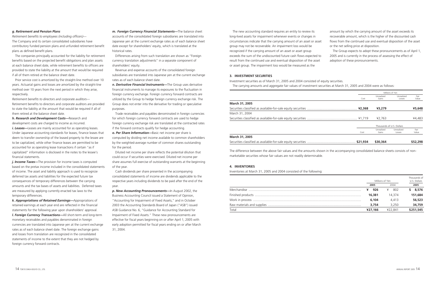The new accounting standard requires an entity to review its long-lived assets for impairment whenever events or changes in circumstances indicate that the carrying amount of an asset or asset group may not be recoverable. An impairment loss would be recognized if the carrying amount of an asset or asset group exceeds the sum of the undiscounted future cash flows expected to result from the continued use and eventual disposition of the asset or asset group. The impairment loss would be measured as the amount by which the carrying amount of the asset exceeds its recoverable amount, which is the higher of the discounted cash flows from the continued use and eventual disposition of the asset or the net selling price at disposition. The Group expects to adopt these pronouncements as of April 1, 2005 and is currently in the process of assessing the effect of adoption of these pronouncements.

The difference between the above fair values and the amounts shown in the accompanying consolidated balance sheets consists of nonmarketable securities whose fair values are not readily determinable.

### **3. INVESTMENT SECURITIES**

### **4. INVENTORIES**

Inventories at March 31, 2005 and 2004 consisted of the following:

### **March 31, 2005**

Securities classified as available-for-sale equity securities ................ March 31, 2004 Securities classified as available-for-sale equity securities ...............

|          |                           | Millions of Yen      |               |
|----------|---------------------------|----------------------|---------------|
| Cost     | Unrealized<br>Gains       | Unrealized<br>Losses | Fair<br>Value |
|          |                           |                      |               |
| ¥2,368   | ¥3,279                    |                      | ¥5,648        |
|          |                           |                      |               |
| ¥1,719   | ¥2,763                    |                      | ¥4,483        |
|          | Thousands of U.S. Dollars |                      |               |
| Cost     | Unrealized<br>Gains       | Unrealized<br>Losses | Fair<br>Value |
| \$21,934 | \$30,364                  |                      | \$52,298      |

### **March 31, 2005**

Securities classified as available-for-sale equity securities .................

Investment securities as of March 31, 2005 and 2004 consisted of equity securities. The carrying amounts and aggregate fair values of investment securities at March 31, 2005 and 2004 were as follows:

*j. Income Taxes*—The provision for income taxes is computed based on the pretax income included in the consolidated statements of income. The asset and liability approach is used to recognize deferred tax assets and liabilities for the expected future tax consequences of temporary differences between the carrying amounts and the tax bases of assets and liabilities. Deferred taxes are measured by applying currently enacted tax laws to the temporary differences.

|       |         | Millions of Yen |           |  |
|-------|---------|-----------------|-----------|--|
|       | 2005    | 2004            | 2005      |  |
|       | 926     | 802             | 8,576     |  |
|       | 16,381  | 14.374          | 151.684   |  |
|       | 6,104   | 4.413           | 56,523    |  |
|       | 3,754   | 3.250           | 34,759    |  |
| Total | ¥27,166 | ¥22.841         | \$251,545 |  |

- 
- 

### *g. Retirement and Pension Plans*

*Retirement benefits to employees (including officers)*— The Company and its certain consolidated subsidiaries have contributory funded pension plans and unfunded retirement benefit plans as defined benefit plans.

The companies principally accounted for the liability for retirement benefits based on the projected benefit obligations and plan assets at each balance sheet date, while retirement benefits to officers are provided to state the liability at the amount that would be required if all of them retired at the balance sheet date.

Prior service cost is amortized by the straight-line method over 10 years. Actuarial gains and losses are amortized by the straight-line method over 10 years from the next period in which they arise, respectively.

*Retirement benefits to directors and corporate auditors*— Retirement benefits to directors and corporate auditors are provided to state the liability at the amount that would be required if all of them retired at the balance sheet date.

*h. Research and Development Costs—*Research and development costs are charged to income as incurred. *i. Leases—*Leases are mainly accounted for as operating leases. Under Japanese accounting standards for leases, finance leases that deem to transfer ownership of the leased property to the lessee are to be capitalized, while other finance leases are permitted to be accounted for as operating lease transactions if certain "as if capitalized" information is disclosed in the notes to the lessee's financial statements.

*k. Appropriations of Retained Earnings—*Appropriations of retained earnings at each year end are reflected in the financial statements for the following year upon shareholders' approval. *l. Foreign Currency Transactions—*All short-term and long-term monetary receivables and payables denominated in foreign currencies are translated into Japanese yen at the current exchange rates as of each balance sheet date. The foreign exchange gains and losses from translation are recognized in the consolidated statements of income to the extent that they are not hedged by foreign currency forward contracts.

*m. Foreign Currency Financial Statements—*The balance sheet accounts of the consolidated foreign subsidiaries are translated into Japanese yen at the current exchange rates as of each balance sheet date except for shareholders' equity, which is translated at the historical rates.

Differences arising from such translation are shown as "Foreign currency translation adjustments" in a separate component of shareholders' equity.

Revenue and expense accounts of the consolidated foreign subsidiaries are translated into Japanese yen at the current exchange rates as of each balance sheet date.

*n. Derivative Financial Instruments—*The Group uses derivative financial instruments to manage its exposures to the fluctuation in foreign currency exchange. Foreign currency forward contracts are utilized by the Group to hedge foreign currency exchange risk. The Group does not enter into the derivative for trading or speculative purposes.

Trade receivables and payables denominated in foreign currencies for which foreign currency forward contracts are used to hedge foreign currency exchange risk are translated at the contracted rates if the forward contracts qualify for hedge accounting.

*o. Per Share Information—*Basic net income per share is computed by dividing net income available to common shareholders by the weighted-average number of common shares outstanding for the period.

Diluted net income per share reflects the potential dilution that could occur if securities were exercised. Diluted net income per share assumes full exercise of outstanding warrants at the beginning of the year.

Cash dividends per share presented in the accompanying consolidated statements of income are dividends applicable to the respective years including dividends to be paid after the end of the year.

*p. New Accounting Pronouncements—*In August 2002, the Business Accounting Council issued a Statement of Opinion, "Accounting for Impairment of Fixed Assets," and in October 2003 the Accounting Standards Board of Japan ("ASB") issued ASB Guidance No. 6, "Guidance for Accounting Standard for Impairment of Fixed Assets." These new pronouncements are effective for fiscal years beginning on or after April 1, 2005 with early adoption permitted for fiscal years ending on or after March 31, 2004.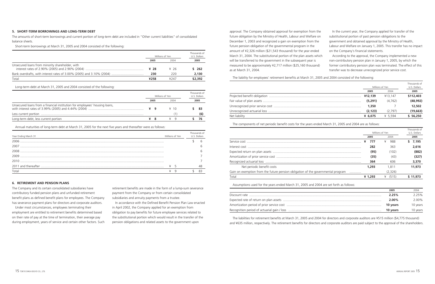The liabilities for retirement benefits at March 31, 2005 and 2004 for directors and corporate auditors are ¥515 million (\$4,775 thousand) and ¥635 million, respectively. The retirement benefits for directors and corporate auditors are paid subject to the approval of the shareholders.

The liability for employees' retirement benefits at March 31, 2005 and 2004 consisted of the following:

|               |           | Millions of Yen |           |  |
|---------------|-----------|-----------------|-----------|--|
|               | 2005      | 2004            | 2005      |  |
|               | ¥12,139   | ¥13.147         | \$112,403 |  |
|               | (5,291)   | (4.762)         | (48, 992) |  |
|               | 1,350     |                 | 12,502    |  |
|               | (2, 123)  | (2.797)         | (19, 663) |  |
| Net liability | ¥ $6.075$ | ¥ 5.594         | \$56.250  |  |

The components of net periodic benefit costs for the years ended March 31, 2005 and 2004 are as follows:

|                                                                                        |   |                 |           |              | Thousands of |
|----------------------------------------------------------------------------------------|---|-----------------|-----------|--------------|--------------|
|                                                                                        |   | Millions of Yen |           | U.S. Dollars |              |
|                                                                                        |   | 2005            | 2004      |              | 2005         |
|                                                                                        | ¥ | 777             | 988       | S.           | 7.195        |
|                                                                                        |   | 282             | 363       |              | 2.616        |
|                                                                                        |   | (95)            | (102)     |              | (882)        |
|                                                                                        |   | (35)            | (43)      |              | (327)        |
|                                                                                        |   | 364             | 606       |              | 3,370        |
| Net periodic benefit costs                                                             |   | 1,293           | 1.811     |              | 11,973       |
| Gain on exemption from the future pension obligation of the governmental program       |   |                 | (2,326)   |              |              |
| Total                                                                                  |   | ¥ $1.293$       | ¥ $(515)$ |              | \$11,973     |
| Assumptions used for the years ended March 31, 2005 and 2004 are set forth as follows: |   |                 |           |              |              |
|                                                                                        |   |                 | 2005      |              | 2004         |
| Discount rate                                                                          |   |                 | 2.25%     |              | 7750/        |

| 2005     | 2004     |
|----------|----------|
| 2.25%    | 2.25%    |
| $2.00\%$ | $2.00\%$ |
| 10 years | 10 years |
| 10 years | 10 years |

approval. The Company obtained approval for exemption from the future obligation by the Ministry of Health, Labour and Welfare on December 1, 2003 and recognized a gain on exemption from the future pension obligation of the governmental program in the amount of ¥2,326 million (\$21,543 thousand) for the year ended March 31, 2004. The substitutional portion of the plan assets which will be transferred to the government in the subsequent year is measured to be approximately ¥2,717 million (\$25,160 thousand) as at March 31, 2004.

In the current year, the Company applied for transfer of the substitutional portion of past pension obligations to the government and obtained approval by the Ministry of Health, Labour and Welfare on January 1, 2005. This transfer has no impact on the Company's financial statements.

According to the approval, the Company implemented a new non-contributory pension plan in January 1, 2005, by which the former contributory pension plan was terminated. The effect of this transfer was to decrease unrecognized prior service cost.

### **5. SHORT-TERM BORROWINGS AND LONG-TERM DEBT**

The amounts of short-term borrowings and current portion of long-term debt are included in "Other current liabilities" of consolidated balance sheets.

Short-term borrowings at March 31, 2005 and 2004 consisted of the following:

### **6. RETIREMENT AND PENSION PLANS**

The Company and its certain consolidated subsidiaries have contributory funded pension plans and unfunded retirement benefit plans as defined benefit plans for employees. The Company has severance payment plans for directors and corporate auditors.

Under most circumstances, employees terminating their employment are entitled to retirement benefits determined based on their rate of pay at the time of termination, their average pay during employment, years of service and certain other factors. Such retirement benefits are made in the form of a lump-sum severance payment from the Company or from certain consolidated subsidiaries and annuity payments from a trustee.

In accordance with the Defined Benefit Pension Plan Law enacted in April 2002, the Company applied for an exemption from obligation to pay benefits for future employee services related to the substitutional portion which would result in the transfer of the pension obligations and related assets to the government upon

|                                                 | Millions of Yen | Thousands of<br>U.S. Dollars |         |
|-------------------------------------------------|-----------------|------------------------------|---------|
|                                                 | 2005            | 2004                         | 2005    |
| Unsecured loans from minority shareholder, with | ¥ 28            | ¥76                          | \$ 262  |
|                                                 | 230             | 220                          | 2,130   |
| Total                                           | ¥258            | 4247                         | \$2,392 |

Long-term debt at March 31, 2005 and 2004 consisted of the following:

|                                                                            | Millions of Yen |      |  | Thousands of<br>U.S. Dollars |  |      |
|----------------------------------------------------------------------------|-----------------|------|--|------------------------------|--|------|
|                                                                            |                 | 2005 |  | 2004                         |  | 2005 |
| Unsecured loans from a financial institution for employees' housing loans, |                 |      |  | $\angle$ 10                  |  |      |
|                                                                            |                 |      |  |                              |  |      |
| Long-term debt, less current portion                                       |                 | -8   |  |                              |  |      |

Annual maturities of long-term debt at March 31, 2005 for the next five years and thereafter were as follows:

| Year Ending March 31 | Millions of Yen | Thousands of<br><b>IIS</b> Dollars |
|----------------------|-----------------|------------------------------------|
| 2006                 |                 |                                    |
| 2007                 |                 |                                    |
| 2008                 |                 |                                    |
| 2009                 |                 |                                    |
| 2010                 |                 |                                    |
|                      |                 |                                    |
| Total                |                 |                                    |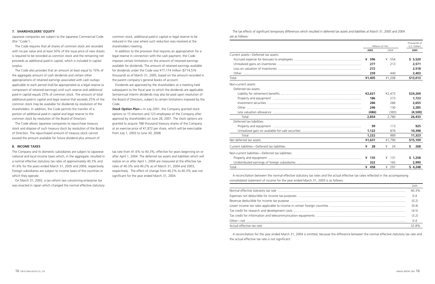The tax effects of significant temporary differences which resulted in deferred tax assets and liabilities at March 31, 2005 and 2004 are as follows:

|                                                   |         | Millions of Yen |                      |  |
|---------------------------------------------------|---------|-----------------|----------------------|--|
|                                                   | 2005    | 2004            | U.S. Dollars<br>2005 |  |
| Current assets-Deferred tax assets:               |         |                 |                      |  |
|                                                   |         |                 |                      |  |
|                                                   | ¥ 596   | 554<br>¥        | \$5,520              |  |
|                                                   | 277     | 213             | 2,571                |  |
|                                                   | 272     |                 | 2.518                |  |
|                                                   | 259     | 440             | 2,403                |  |
| Total                                             | ¥1,405  | ¥1,208          | \$13,013             |  |
| Non-current assets:                               |         |                 |                      |  |
| Deferred tax assets:                              |         |                 |                      |  |
|                                                   | 42,621  | ¥2,473          | \$24,269             |  |
|                                                   | 186     | 273             | 1.723                |  |
|                                                   | 286     | 286             | 2.655                |  |
|                                                   | 246     | 130             | 2,285                |  |
|                                                   | (486)   | (383)           | (4,500)              |  |
| Total                                             | 2,854   | 2,780           | 26,433               |  |
| Deferred tax liabilities:                         |         |                 |                      |  |
|                                                   | 99      | 113             | 925                  |  |
|                                                   | 1,122   | 876             | 10,398               |  |
| Total                                             | 1,222   | 989             | 11,323               |  |
| Net deferred tax assets                           | ¥1,631  | ¥1,790          | \$15,109             |  |
| Current liabilities-Deferred tax liabilities      | ¥<br>28 | ¥<br>24         | \$<br>268            |  |
| Non-current liabilities-Deferred tax liabilities: |         |                 |                      |  |
|                                                   | $¥$ 135 | 131<br>¥        | \$1,258              |  |
|                                                   | 322     | 165             | 2.990                |  |
| Total                                             | ¥ 458   | ¥ 297           | \$4,248              |  |

A reconciliation between the normal effective statutory tax rates and the actual effective tax rates reflected in the accompanying consolidated statement of income for the year ended March 31, 2005 is as follows:

| Expenses not deductible for income tax purposes                      |
|----------------------------------------------------------------------|
|                                                                      |
| Lower income tax rates applicable to income in certain foreign count |
| Tax credit for research and development costs                        |
| Tax credit for information and telecommunication equipments          |
|                                                                      |
| Actual effective tax rate                                            |

|                           | 2005  |
|---------------------------|-------|
|                           | 40.3% |
|                           | 0.4   |
|                           | (0.2) |
|                           | (0.4) |
|                           | (4.5) |
|                           | (3.2) |
|                           | 0.4   |
| Actual effective tax rate | 32.8% |

**Stock Option Plan—** In July 2001, the Company granted stock options to 15 directors and 123 employees of the Company after approval by shareholders on June 28, 2001. The stock options are granted to acquire 788 thousand treasury shares of the Company at an exercise price of ¥1,872 per share, which will be exercisable from July 1, 2003 to June 30, 2008.

> A reconciliation for the year ended March 31, 2004 is omitted, because the difference between the normal effective statutory tax rate and the actual effective tax rate is not significant.

### **8. INCOME TAXES**

The Company and its domestic subsidiaries are subject to Japanese national and local income taxes which, in the aggregate, resulted in a normal effective statutory tax rates of approximately 40.3% and 41.6% for the years ended March 31, 2005 and 2004, respectively. Foreign subsidiaries are subject to income taxes of the countries in which they operate.

On March 31, 2003, a tax reform law concerning enterprise tax was enacted in Japan which changed the normal effective statutory tax rate from 41.6% to 40.3%, effective for years beginning on or after April 1, 2004. The deferred tax assets and liabilities which will realize on or after April 1, 2004 are measured at the effective tax rates of 40.3% and 40.2% as of March 31, 2004 and 2003, respectively. The effect of change from 40.2% to 40.3% was not significant for the year ended March 31, 2004.

### **7. SHAREHOLDERS' EQUITY**

Japanese companies are subject to the Japanese Commercial Code (the "Code") .

The Code requires that all shares of common stock are recorded with no par value and at least 50% of the issue price of new shares is required to be recorded as common stock and the remaining net proceeds as additional paid-in capital, which is included in capital surplus.

The Code also provides that an amount at least equal to 10% of the aggregate amount of cash dividends and certain other appropriations of retained earnings associated with cash outlays applicable to each period shall be appropriated as a legal reserve (a component of retained earnings) until such reserve and additional paid-in capital equals 25% of common stock. The amount of total additional paid-in capital and legal reserve that exceeds 25% of the common stock may be available for dividends by resolution of the shareholders. In addition, the Code permits the transfer of a portion of additional paid-in capital and legal reserve to the common stock by resolution of the Board of Directors.

The Code allows Japanese companies to repurchase treasury stock and dispose of such treasury stock by resolution of the Board of Directors. The repurchased amount of treasury stock cannot exceed the amount available for future dividend plus amount of

common stock, additional paid-in capital or legal reserve to be reduced in the case where such reduction was resolved at the shareholders meeting.

In addition to the provision that requires an appropriation for a legal reserve in connection with the cash payment, the Code imposes certain limitations on the amount of retained earnings available for dividends. The amount of retained earnings available for dividends under the Code was ¥77,174 million (\$714,576 thousand) as of March 31, 2005, based on the amount recorded in the parent company's general books of account.

Dividends are approved by the shareholders at a meeting held subsequent to the fiscal year to which the dividends are applicable. Semiannual interim dividends may also be paid upon resolution of the Board of Directors, subject to certain limitations imposed by the Code.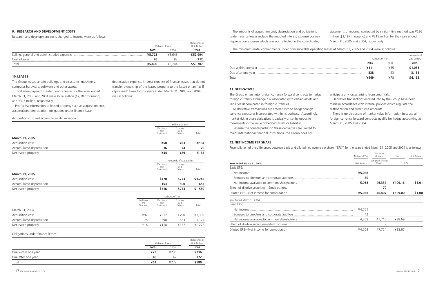The amounts of acquisition cost, depreciation and obligations under finance leases include the imputed interest expense portion. Depreciation expense which was not reflected in the consolidated statements of income, computed by straight-line method was ¥236 million (\$2,187 thousand) and ¥315 million for the years ended March 31, 2005 and 2004, respectively.

The minimum rental commitments under noncancelable operating leases at March 31, 2005 and 2004 were as follows:

|       | Millions of Yen | Thousands of<br>U.S. Dollars |         |  |
|-------|-----------------|------------------------------|---------|--|
|       | 2005<br>2004    |                              |         |  |
|       | 4111            | ¥55                          | \$1,031 |  |
|       | 338             |                              | 3,131   |  |
| Total | ¥449            |                              | \$4,162 |  |

### **11. DERIVATIVES**

currency exposures incorporated within its business. Accordingly, market risk in these derivatives is basically offset by opposite movements in the value of hedged assets or liabilities.

The Group enters into foreign currency forward contracts to hedge foreign currency exchange risk associated with certain assets and liabilities denominated in foreign currencies. All derivative transactions are entered into to hedge foreign anticipate any losses arising from credit risk. Derivative transactions entered into by the Group have been made in accordance with internal policies which regulate the authorization and credit limit amounts.

Because the counterparties to these derivatives are limited to major international financial institutions, the Group does not

There is no disclosure of market value information because all foreign currency forward contracts qualify for hedge accounting at March 31, 2005 and 2004.

### **12. NET INCOME PER SHARE**

Reconciliation of the differences between basic and diluted net income per share ("EPS") for the years ended March 31, 2005 and 2004 is as follows:

|                                             | Millions of Yen | Thousands<br>of Shares     | Yen     | U.S. Dollars |
|---------------------------------------------|-----------------|----------------------------|---------|--------------|
| Year Ended March 31, 2005                   | Net Income      | Weighted-average<br>Shares | EPS     |              |
| Basic EPS:                                  |                 |                            |         |              |
| Net income                                  | ¥5,088          |                            |         |              |
|                                             | 30              |                            |         |              |
| Net income available to common shareholders | 5,058           | 46,337                     | ¥109.16 | \$1.01       |
| Effect of dilutive securities—Stock options |                 | 70                         |         |              |
| Diluted EPS-Net income for computation      | ¥5,058          | 46,407                     | ¥109.00 | \$1.00       |
| Year Ended March 31, 2004                   |                 |                            |         |              |
| Basic EPS:                                  |                 |                            |         |              |
| Net income                                  | ¥4,751          |                            |         |              |
|                                             | 42              |                            |         |              |
| Net income available to common shareholders | 4,709           | 47,716                     | ¥98.69  |              |
| Effect of dilutive securities—Stock options |                 | 8                          |         |              |
| Diluted EPS-Net income for computation      | ¥4.709          | 47.724                     | ¥98.67  |              |

Obligations under finance leases:

|       |      | Millions of Yen | Thousands of<br>U.S. Dollars |
|-------|------|-----------------|------------------------------|
|       | 2005 | 2004            | 2005                         |
|       | 423  | ¥230            | \$216                        |
|       | 40   |                 | 372                          |
| Total | ¥63  |                 | \$589                        |

Net leased property **ACCOLLET ACCOLLET** ACCORD VALUE VALUE VALUE VALUE VALUE VALUE VALUE VALUE VALUE VALUE VALUE

### **10. LEASES**

The Group leases certain buildings and structures, machinery, computer hardware, software and other assets.

Total lease payments under finance leases for the years ended March 31, 2005 and 2004 were ¥236 million (\$2,187 thousand) and ¥315 million, respectively.

Pro forma information of leased property such as acquisition cost, accumulated depreciation, obligations under finance lease,

depreciation expense, interest expense of finance leases that do not transfer ownership of the leased property to the lessee on an "as if capitalized" basis for the years ended March 31, 2005 and 2004

was as follows:

### **9. RESEARCH AND DEVELOPMENT COSTS**

Research and development costs charged to income were as follows:

|       |        | Millions of Yen | Thousands of<br>U.S. Dollars |
|-------|--------|-----------------|------------------------------|
|       | 2005   | 2004            | 2005                         |
|       | ¥5,723 | ¥6.646          | \$52,994                     |
|       | 76     | 98              |                              |
| Total | ¥5,800 | ¥6.744          | \$53.707                     |

|                     |                                       |                               | Millions of Yen              |            |
|---------------------|---------------------------------------|-------------------------------|------------------------------|------------|
|                     |                                       | Machinery<br>and<br>Equipment | Furniture<br>and<br>Fixtures | Total      |
| March 31, 2005      |                                       |                               |                              |            |
|                     |                                       | ¥50                           | ¥83                          | ¥134       |
|                     |                                       | 16                            | 54                           | 70         |
| Net leased property |                                       | ¥34                           | ¥29                          | ¥ 63       |
|                     |                                       |                               | Thousands of U.S. Dollars    |            |
|                     |                                       | Machinery<br>and<br>Equipment | Furniture<br>and<br>Fixtures | Total      |
| March 31, 2005      |                                       |                               |                              |            |
|                     |                                       | \$470                         | \$773                        | \$1,243    |
|                     |                                       | 153                           | 500                          | 653        |
| Net leased property |                                       | \$316                         | \$273                        | \$.<br>589 |
|                     |                                       |                               | Millions of Yen              |            |
|                     | <b>Buildings</b><br>and<br>Structures | Machinery<br>and<br>Equipment | Furniture<br>and<br>Fixtures | Total      |
| March 31, 2004      |                                       |                               |                              |            |
|                     | ¥92                                   | 4517                          | ¥790                         | ¥1,399     |
|                     | 75                                    | 398                           | 653                          | 1,127      |

Acquisition cost and accumulated depreciation: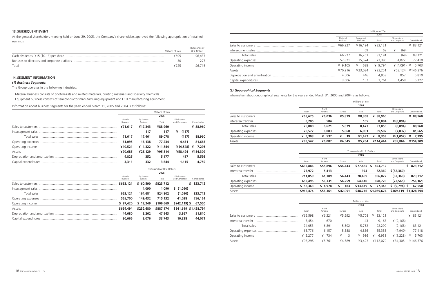|                    |                             |                              | Millions of Yen |                               |              |
|--------------------|-----------------------------|------------------------------|-----------------|-------------------------------|--------------|
|                    |                             |                              | 2004            |                               |              |
|                    | Material<br><b>Business</b> | Equipment<br><b>Business</b> | Total           | Eliminations<br>and Corporate | Consolidated |
| Sales to customers | ¥66,927                     | ¥16.194                      | ¥83,121         |                               | ¥ 83,121     |
|                    |                             | 69                           | 69              | ¥<br>(69)                     |              |
| Total sales        | 66.927                      | 16.263                       | 83.191          | (69)                          | 83,121       |
|                    | 57.821                      | 15.574                       | 73.396          | 4.022                         | 77,418       |
| Operating income   | ¥ $9,105$                   | 688<br>¥                     | ¥ 9.794         | ¥ $(4.091)$                   | 5,703        |
| Assets             | ¥70,216                     | ¥23.034                      | ¥93,251         | ¥53.124                       | ¥146,376     |
|                    | 4,506                       | 446                          | 4,953           | 857                           | 5,810        |
|                    | 3,606                       | 157                          | 3.764           | 1.458                         | 5,222        |

### *(2) Geographical Segments*

Information about geographical segments for the years ended March 31, 2005 and 2004 is as follows:

|                    |           |                  |         | Millions of Yen |            |                               |              |
|--------------------|-----------|------------------|---------|-----------------|------------|-------------------------------|--------------|
|                    |           |                  |         | 2005            |            |                               |              |
|                    | Japan     | North<br>America | Europe  | Asia            | Total      | Eliminations<br>and Corporate | Consolidated |
|                    | ¥68,675   | ¥6,036           | ¥5,879  | ¥8,368          | ¥ 88,960   |                               | ¥ 88,960     |
| Interarea transfer | 8,205     | 584              |         | 105             | 8,894      | ¥ (8,894)                     |              |
| Total sales        | 76,880    | 6,621            | 5,879   | 8,473           | 97,855     | (8,894)                       | 88,960       |
|                    | 70,577    | 6,083            | 5,860   | 6,981           | 89,502     | (7, 837)                      | 81,665       |
| Operating income   | ¥ $6,303$ | 537<br>¥         | ¥<br>19 | ¥1,492          | 8,353<br>¥ | ¥ (1,057)                     | 7,295<br>¥   |
| Assets             | ¥98,547   | ¥6,087           | ¥4,545  | ¥5,264          | ¥114,444   | ¥39,864                       | ¥154,309     |

|                    |           |                  |          | Thousands of U.S. Dollars |               |                               |                       |
|--------------------|-----------|------------------|----------|---------------------------|---------------|-------------------------------|-----------------------|
|                    |           |                  |          | 2005                      |               |                               |                       |
|                    | Japan     | North<br>America | Europe   | Asia                      | Total         | Eliminations<br>and Corporate | Consolidated          |
| Sales to customers | \$635,886 | \$55,896         | \$54,443 | \$77,485                  | 823,712<br>S. |                               | \$823,712             |
|                    | 75,972    | 5,413            |          | 974                       | 82,360        | \$ (82, 360)                  |                       |
| Total sales        | 711,859   | 61,309           | 54,443   | 78,459                    | 906,072       | (82, 360)                     | 823,712               |
| Operating expenses | 653,495   | 56,331           | 54,259   | 64,640                    | 828,726       | (72, 565)                     | 756,161               |
| Operating income   | \$58,363  | \$4,978          | 183<br>s | \$13,819                  | 77,345<br>S   | $(9,794)$ \$<br>S.            | 67,550                |
| Assets             | \$912,474 | \$56,361         | \$42,091 | \$48,746                  | \$1,059,674   |                               | \$369,119 \$1,428,794 |

|                    |         |                  |        | Millions of Yen |             |                               |              |
|--------------------|---------|------------------|--------|-----------------|-------------|-------------------------------|--------------|
|                    |         |                  |        | 2004            |             |                               |              |
|                    | Japan   | North<br>America | Europe | Asia            | Total       | Eliminations<br>and Corporate | Consolidated |
|                    | ¥65,598 | 46,221           | ¥5,592 | ¥5.708          | 83,121<br>¥ |                               | ¥ $83,121$   |
| Interarea transfer | 8,454   | 670              |        | 43              | 9,168       | (9,168)                       |              |
| Total sales        | 74,053  | 6,891            | 5,592  | 5,752           | 92,290      | (9, 168)                      | 83,121       |
|                    | 68.776  | 6.157            | 5,588  | 4,836           | 85,358      | (7,940)                       | 77,418       |
| Operating income   | ¥ 5,277 | 734<br>¥         | 3<br>¥ | 916<br>¥        | 6.931<br>¥  | (1,228)                       | 5,703<br>¥   |
| Assets             | ¥98.295 | ¥5.761           | ¥4.589 | ¥3.423          | ¥112.070    | ¥34.305                       | ¥146,376     |

### **13. SUBSEQUENT EVENT**

At the general shareholders meeting held on June 29, 2005, the Company's shareholders approved the following appropriation of retained earnings:

### **14. SEGMENT INFORMATION**

### *(1) Business Segments*

The Group operates in the following industries:

Material business consists of photoresists and related materials, printing materials and specialty chemicals. Equipment business consists of semiconductor manufacturing equipment and LCD manufacturing equipment.

Information about business segments for the years ended March 31, 2005 and 2004 is as follows:

|       | Millions of Yen | Thousands of<br>U.S. Dollars |
|-------|-----------------|------------------------------|
|       | ¥695            | \$6.437                      |
|       | RC              |                              |
| Total | ¥725            | \$6,715                      |

|                  | Millions of Yen             |                              |         |                               |              |  |
|------------------|-----------------------------|------------------------------|---------|-------------------------------|--------------|--|
|                  |                             |                              | 2005    |                               |              |  |
|                  | Material<br><b>Business</b> | Equipment<br><b>Business</b> | Total   | Eliminations<br>and Corporate | Consolidated |  |
|                  | ¥71,617                     | ¥17,343                      | ¥88,960 |                               | ¥ 88,960     |  |
|                  |                             | 117                          | 117     | (117)<br>¥                    |              |  |
|                  | 71,617                      | 17,461                       | 89,078  | (117)                         | 88,960       |  |
|                  | 61,095                      | 16,138                       | 77.234  | 4,431                         | 81,665       |  |
| Operating income | ¥10,521                     | ¥ $1,322$                    | ¥11,844 | ¥ (4,548)                     | 7,295<br>¥   |  |
| Assets           | ¥70,685                     | ¥25,129                      | ¥95,814 | ¥58,494                       | ¥154,309     |  |
|                  | 4,825                       | 352                          | 5,177   | 417                           | 5,595        |  |
|                  | 3,311                       | 332                          | 3,644   | 1.115                         | 4,759        |  |

|                  | Thousands of U.S. Dollars   |                              |           |                               |                       |  |
|------------------|-----------------------------|------------------------------|-----------|-------------------------------|-----------------------|--|
|                  |                             |                              | 2005      |                               |                       |  |
|                  | Material<br><b>Business</b> | Equipment<br><b>Business</b> | Total     | Eliminations<br>and Corporate | Consolidated          |  |
|                  | \$663,121                   | \$160,590                    | \$823,712 |                               | 823,712<br>S.         |  |
|                  |                             | 1,090                        | 1,090     | \$(1,090)                     |                       |  |
| Total sales      | 663,121                     | 161.681                      | 824,802   | (1,090)                       | 823,712               |  |
|                  | 565,700                     | 149,432                      | 715,132   | 41,028                        | 756,161               |  |
| Operating income | \$97,420                    | \$12.249                     | \$109,669 | \$ (42, 119) \$               | 67,550                |  |
| Assets           | \$654,494                   | \$232,680                    | \$887,174 |                               | \$541,619 \$1,428,794 |  |
|                  | 44,680                      | 3,262                        | 47,943    | 3,867                         | 51,810                |  |
|                  | 30,666                      | 3,076                        | 33,743    | 10,328                        | 44,071                |  |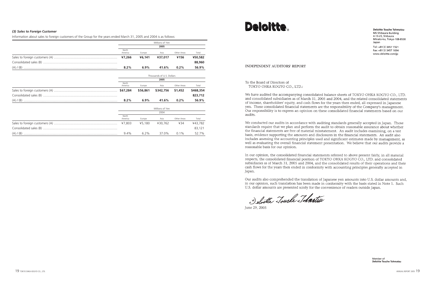**Deloitte Touche Tohmatsu** MS Shibaura Building 4-13-23, Shibaura Minato-ku, Tokyo 108-8530 Japan

Tel: +81(3)3457 7321 Fax: +81(3)3457 1694 www.deloitte.com/jp

### *(3) Sales to Foreign Customer*

Information about sales to foreign customers of the Group for the years ended March 31, 2005 and 2004 is as follows:

|          | Millions of Yen  |         |         |             |         |
|----------|------------------|---------|---------|-------------|---------|
|          |                  |         | 2005    |             |         |
|          | North<br>America | Europe  | Asia    | Other Areas | Total   |
|          | ¥7,266           | ¥6,141  | ¥37.017 | ¥156        | ¥50,582 |
|          |                  |         |         |             | 88,960  |
| (A)/ (B) | 8.2%             | $6.9\%$ | 41.6%   | $0.2\%$     | 56.9%   |

| Thousands of U.S. Dollars |          |                 |             |           |
|---------------------------|----------|-----------------|-------------|-----------|
| 2005                      |          |                 |             |           |
| North<br>America          | Europe   | Asia            | Other Areas | Total     |
| \$67,284                  | \$56,861 | \$342,756       | \$1,452     | \$468,354 |
|                           |          |                 |             | 823,712   |
| 8.2%                      | $6.9\%$  | 41.6%           | $0.2\%$     | 56.9%     |
|                           |          | Millions of Yen |             |           |
|                           |          | 2004            |             |           |
| North<br>America          | Europe   | Asia            | Other Areas | Total     |
| ¥7,803                    | ¥5,180   | ¥30,762         | ¥34         | ¥43,782   |

Consolidated sales (B) ................................................................................... 83,121 (A) / (B) ......................................................................................................... 9.4% 6.2% 37.0% 0.1% 52.7%

# **Deloitte**

### **INDEPENDENT AUDITORS' REPORT**

### To the Board of Directors of TOKYO OHKA KOGYO CO., LTD.:

We have audited the accompanying consolidated balance sheets of TOKYO OHKA KOGYO CO., LTD. and consolidated subsidiaries as of March 31, 2005 and 2004, and the related consolidated statements of income, shareholders' equity, and cash flows for the years then ended, all expressed in Japanese yen. These consolidated financial statements are the responsibility of the Company's management. Our responsibility is to express an opinion on these consolidated financial statements based on our audits.

We conducted our audits in accordance with auditing standards generally accepted in Japan. Those standards require that we plan and perform the audit to obtain reasonable assurance about whether the financial statements are free of material misstatement. An audit includes examining, on a test basis, evidence supporting the amounts and disclosures in the financial statements. An audit also includes assessing the accounting principles used and significant estimates made by management, as well as evaluating the overall financial statement presentation. We believe that our audits provide a reasonable basis for our opinion.

In our opinion, the consolidated financial statements referred to above present fairly, in all material respects, the consolidated financial position of TOKYO OHKA KOGYO CO., LTD. and consolidated subsidiaries as of March 31, 2005 and 2004, and the consolidated results of their operations and their cash flows for the years then ended in conformity with accounting principles generally accepted in Japan.

Our audits also comprehended the translation of Japanese yen amounts into U.S. dollar amounts and, in our opinion, such translation has been made in conformity with the basis stated in Note 1. Such U.S. dollar amounts are presented solely for the convenience of readers outside Japan.

Deloitte Touche Tohmatsu

June 29, 2005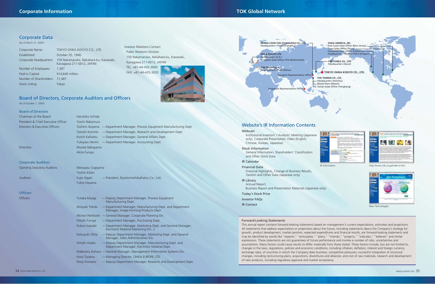Website's IR Information Contents

### Webcast

Institutional Investors' / Analysts' Meeting (Japanese only), Corporate Presentation Video (English, Chinese, Korean, Japanese)

Stock Information General Information, Shareholders' Classification and Other Stock Data

### IR Calendar

Financial Data

Financial Highlights, Change of Business Results, *Tanshin* and Other Data (Japanese only)

### IR Library

Annual Report, Business Report and Presentation Materials (Japanese only)

Today's Stock Price Investor FAQs

IR Contact

## Board of Directors, Corporate Auditors and Officers

(As of October 1, 2005)

| <b>Board of Directors</b>           |                                                                            |
|-------------------------------------|----------------------------------------------------------------------------|
| Chairman of the Board               | Haruhiko Uchida                                                            |
| President & Chief Executive Officer | Yoichi Nakamura                                                            |
| Directors & Executive Officers      | Toshimi Aoyama — Department Manager, Process Equipment Manufacturing Dept. |
|                                     | -Department Manager, Research and Development Dept.<br>Takashi Komine      |
|                                     | -Department Manager, General Affairs Dept.<br>Koichi Kaihatsu              |
|                                     | Yukiyasu Henmi — Department Manager, Accounting Dept.                      |
| <b>Directors</b>                    | Muneo Nakayama                                                             |
|                                     | Akira Furuya                                                               |
| <b>Corporate Auditors</b>           |                                                                            |
| <b>Standing Statutory Auditors</b>  | Motoyasu Sugiyama                                                          |
|                                     | Yoshio Kitani                                                              |
|                                     |                                                                            |

**Officers** 

| <b>Auditors</b> | Fujio Higaki<br>Yukio Hayama | -President, Ryoshintoshikaihatsu Co., Ltd.                                                          |
|-----------------|------------------------------|-----------------------------------------------------------------------------------------------------|
| <b>Officers</b> |                              |                                                                                                     |
| <b>Officers</b> | Yutaka Miyagi                | - Deputy Department Manager, Process Equipment<br>Manufacturing Dept.                               |
|                 | Hiroyuki Tohda               | — Department Manager, Manufacturing Dept. and Department<br>Manager, Image-Forming Products Dept.   |
|                 |                              | Akinori Horikoshi — General Manager, Corporate Planning Div.                                        |
|                 | Hitoshi Furuya               | -Department Manager, Purchasing Dept.                                                               |
|                 | Kobun Iwasaki                | -Department Manager, Marketing Dept. and General Manager,<br>Electronic Material Marketing Div. 2   |
|                 | Katsuyuki Ohta               | - Deputy Department Manager, Marketing Dept. and General<br>Manager, Sales Administration Div.      |
|                 | Hiroshi Asaba                | Deputy Department Manager, Manufacturing Dept. and<br>Department Manager, Electronic Material Dept. |
|                 |                              | Hidekatsu Kohara - General Manager, Management Information Systems Div.                             |
|                 | Kenji Tazawa                 | — Managing Director, OHKA EUROPE LTD.                                                               |
|                 | Hiroji Komano                | - Deputy Department Manager, Research and Development Dept.                                         |
|                 |                              |                                                                                                     |

### Forward-Looking Statements

This annual report contains forward-looking statements based on management's current expectations, estimates and projections. All statements that address expectations or projections about the future, including statements about the Company's strategy for growth, product development, market position, expected expenditures and financial results, are forward-looking statements and may be identified by words like "expects," "anticipates," "plans," "intends," "projects," "indicates," "believes" and similar expressions. These statements are not guarantees of future performance and involve a number of risks, uncertainties and assumptions. Many factors could cause results to differ materially from those stated. These factors include, but are not limited to, changes in the laws, regulations, policies and economic conditions, including inflation, deflation, interest and foreign currency exchange rates, of countries in which the Company does business; competitive pressures; successful integration of structural changes, including restructuring plans, acquisitions, divestitures and alliances; and cost of raw materials, research and development of new products, including regulatory approval and market acceptance.

Headquarters (U.K.)

European Sales Office (The Netherlands)

**TOK ITALIA S.p.A.** Headquarters / Plant (Milan)

Shanghai Representative Office

Representative Office

**CHANG CHUN TOK (CHANGSHU) CO., LTD.** Headquarters / Plant (Changshu)



### Corporate Data

(As of March 31, 2005)

| Corporate Name:         | TOKYO OHKA KOGYO CO., LTD.                                         |
|-------------------------|--------------------------------------------------------------------|
| Established:            | October 25, 1940                                                   |
| Corporate Headquarters: | 150 Nakamaruko, Nakahara-ku, Kawasaki,<br>Kanagawa 211-0012, JAPAN |
| Number of Employees:    | 1,397                                                              |
| Paid-in Capital:        | ¥14,640 million                                                    |
| Number of Shareholders: | 11,487                                                             |
| Stock Listing:          | Tokyo                                                              |

Investor Relations Contact: Public Relations Division 150 Nakamaruko, Nakahara-ku, Kawasaki, Kanagawa 211-0012, JAPAN TEL. +81-44-435-3000 FAX. +81-44-435-3020